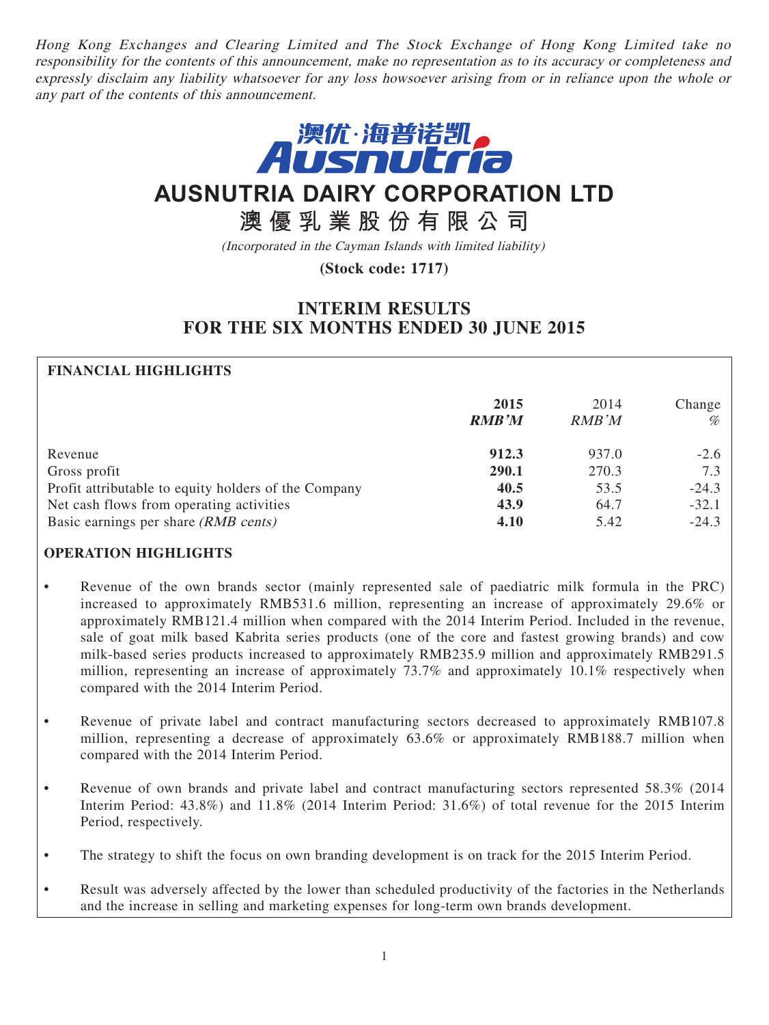Hong Kong Exchanges and Clearing Limited and The Stock Exchange of Hong Kong Limited take no responsibility for the contents of this announcement, make no representation as to its accuracy or completeness and expressly disclaim any liability whatsoever for any loss howsoever arising from or in reliance upon the whole or any part of the contents of this announcement.



# **AUSNUTRIA DAIRY CORPORATION LTD**

# **澳優乳業股份有限公司**

(Incorporated in the Cayman Islands with limited liability)

# **(Stock code: 1717)**

# **INTERIM RESULTS FOR THE SIX MONTHS ENDED 30 JUNE 2015**

# **FINANCIAL HIGHLIGHTS**

|                                                      | 2015<br><b>RMB'M</b> | 2014<br><b>RMB</b> 'M | Change<br>% |
|------------------------------------------------------|----------------------|-----------------------|-------------|
| Revenue                                              | 912.3                | 937.0                 | $-2.6$      |
| Gross profit                                         | 290.1                | 270.3                 | 7.3         |
| Profit attributable to equity holders of the Company | 40.5                 | 53.5                  | $-24.3$     |
| Net cash flows from operating activities             | 43.9                 | 64.7                  | $-32.1$     |
| Basic earnings per share (RMB cents)                 | 4.10                 | 5.42                  | $-24.3$     |

## **OPERATION HIGHLIGHTS**

- Revenue of the own brands sector (mainly represented sale of paediatric milk formula in the PRC) increased to approximately RMB531.6 million, representing an increase of approximately 29.6% or approximately RMB121.4 million when compared with the 2014 Interim Period. Included in the revenue, sale of goat milk based Kabrita series products (one of the core and fastest growing brands) and cow milk-based series products increased to approximately RMB235.9 million and approximately RMB291.5 million, representing an increase of approximately 73.7% and approximately 10.1% respectively when compared with the 2014 Interim Period.
- Revenue of private label and contract manufacturing sectors decreased to approximately RMB107.8 million, representing a decrease of approximately 63.6% or approximately RMB188.7 million when compared with the 2014 Interim Period.
- Revenue of own brands and private label and contract manufacturing sectors represented 58.3% (2014) Interim Period: 43.8%) and 11.8% (2014 Interim Period: 31.6%) of total revenue for the 2015 Interim Period, respectively.
- The strategy to shift the focus on own branding development is on track for the 2015 Interim Period.
- Result was adversely affected by the lower than scheduled productivity of the factories in the Netherlands and the increase in selling and marketing expenses for long-term own brands development.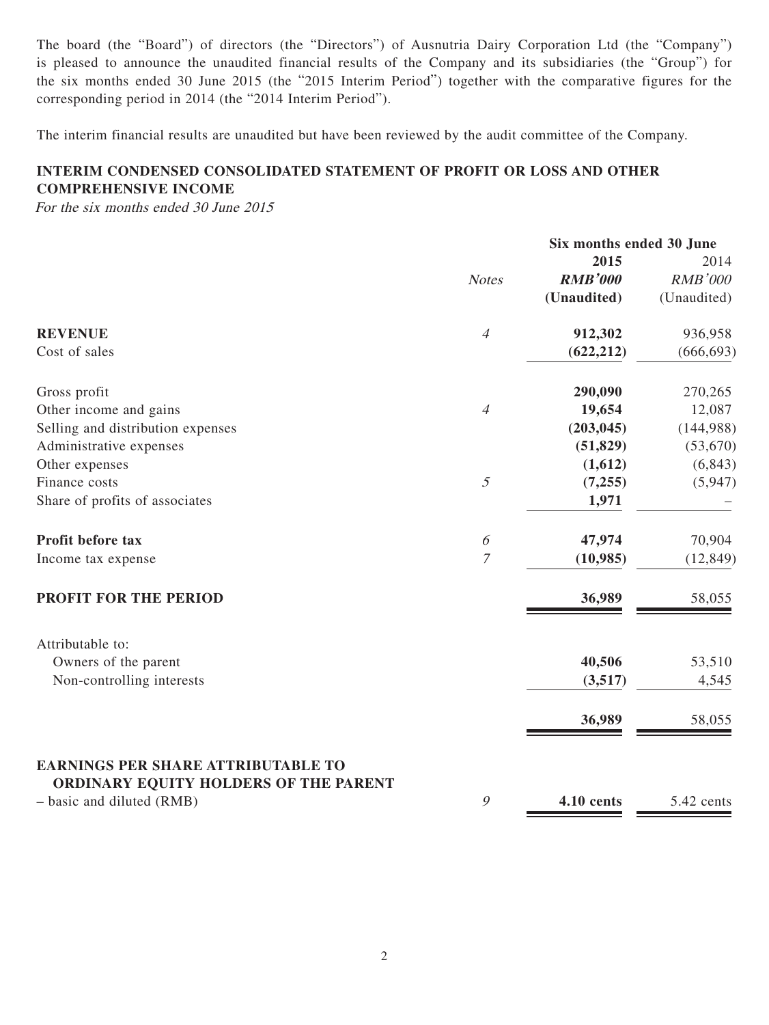The board (the "Board") of directors (the "Directors") of Ausnutria Dairy Corporation Ltd (the "Company") is pleased to announce the unaudited financial results of the Company and its subsidiaries (the "Group") for the six months ended 30 June 2015 (the "2015 Interim Period") together with the comparative figures for the corresponding period in 2014 (the "2014 Interim Period").

The interim financial results are unaudited but have been reviewed by the audit committee of the Company.

# **INTERIM CONDENSED CONSOLIDATED STATEMENT OF PROFIT OR LOSS AND OTHER COMPREHENSIVE INCOME**

For the six months ended 30 June 2015

|                                                                                    |                       | Six months ended 30 June |                |
|------------------------------------------------------------------------------------|-----------------------|--------------------------|----------------|
|                                                                                    |                       | 2015                     | 2014           |
|                                                                                    | <b>Notes</b>          | <b>RMB'000</b>           | <b>RMB'000</b> |
|                                                                                    |                       | (Unaudited)              | (Unaudited)    |
| <b>REVENUE</b>                                                                     | $\overline{4}$        | 912,302                  | 936,958        |
| Cost of sales                                                                      |                       | (622, 212)               | (666, 693)     |
| Gross profit                                                                       |                       | 290,090                  | 270,265        |
| Other income and gains                                                             | $\overline{4}$        | 19,654                   | 12,087         |
| Selling and distribution expenses                                                  |                       | (203, 045)               | (144,988)      |
| Administrative expenses                                                            |                       | (51, 829)                | (53,670)       |
| Other expenses                                                                     |                       | (1,612)                  | (6, 843)       |
| Finance costs                                                                      | 5                     | (7,255)                  | (5,947)        |
| Share of profits of associates                                                     |                       | 1,971                    |                |
| Profit before tax                                                                  | $\boldsymbol{\delta}$ | 47,974                   | 70,904         |
| Income tax expense                                                                 | $\overline{7}$        | (10, 985)                | (12, 849)      |
| PROFIT FOR THE PERIOD                                                              |                       | 36,989                   | 58,055         |
| Attributable to:                                                                   |                       |                          |                |
| Owners of the parent                                                               |                       | 40,506                   | 53,510         |
| Non-controlling interests                                                          |                       | (3,517)                  | 4,545          |
|                                                                                    |                       | 36,989                   | 58,055         |
| <b>EARNINGS PER SHARE ATTRIBUTABLE TO</b><br>ORDINARY EQUITY HOLDERS OF THE PARENT |                       |                          |                |
| - basic and diluted (RMB)                                                          | 9                     | <b>4.10 cents</b>        | 5.42 cents     |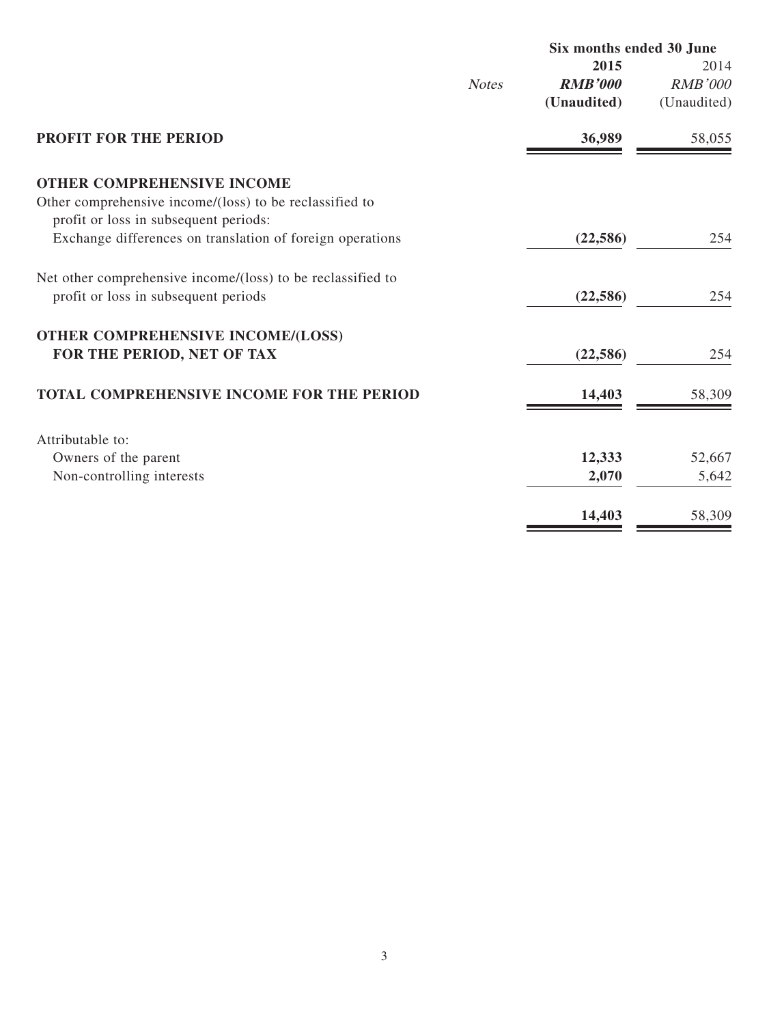|                                                             |              | Six months ended 30 June |                |
|-------------------------------------------------------------|--------------|--------------------------|----------------|
|                                                             |              | 2015                     | 2014           |
|                                                             | <b>Notes</b> | <b>RMB'000</b>           | <b>RMB'000</b> |
|                                                             |              | (Unaudited)              | (Unaudited)    |
| <b>PROFIT FOR THE PERIOD</b>                                |              | 36,989                   | 58,055         |
| <b>OTHER COMPREHENSIVE INCOME</b>                           |              |                          |                |
| Other comprehensive income/(loss) to be reclassified to     |              |                          |                |
| profit or loss in subsequent periods:                       |              |                          |                |
| Exchange differences on translation of foreign operations   |              | (22, 586)                | 254            |
| Net other comprehensive income/(loss) to be reclassified to |              |                          |                |
| profit or loss in subsequent periods                        |              | (22, 586)                | 254            |
| <b>OTHER COMPREHENSIVE INCOME/(LOSS)</b>                    |              |                          |                |
| FOR THE PERIOD, NET OF TAX                                  |              | (22, 586)                | 254            |
| TOTAL COMPREHENSIVE INCOME FOR THE PERIOD                   |              | 14,403                   | 58,309         |
| Attributable to:                                            |              |                          |                |
| Owners of the parent                                        |              | 12,333                   | 52,667         |
| Non-controlling interests                                   |              | 2,070                    | 5,642          |
|                                                             |              | 14,403                   | 58,309         |
|                                                             |              |                          |                |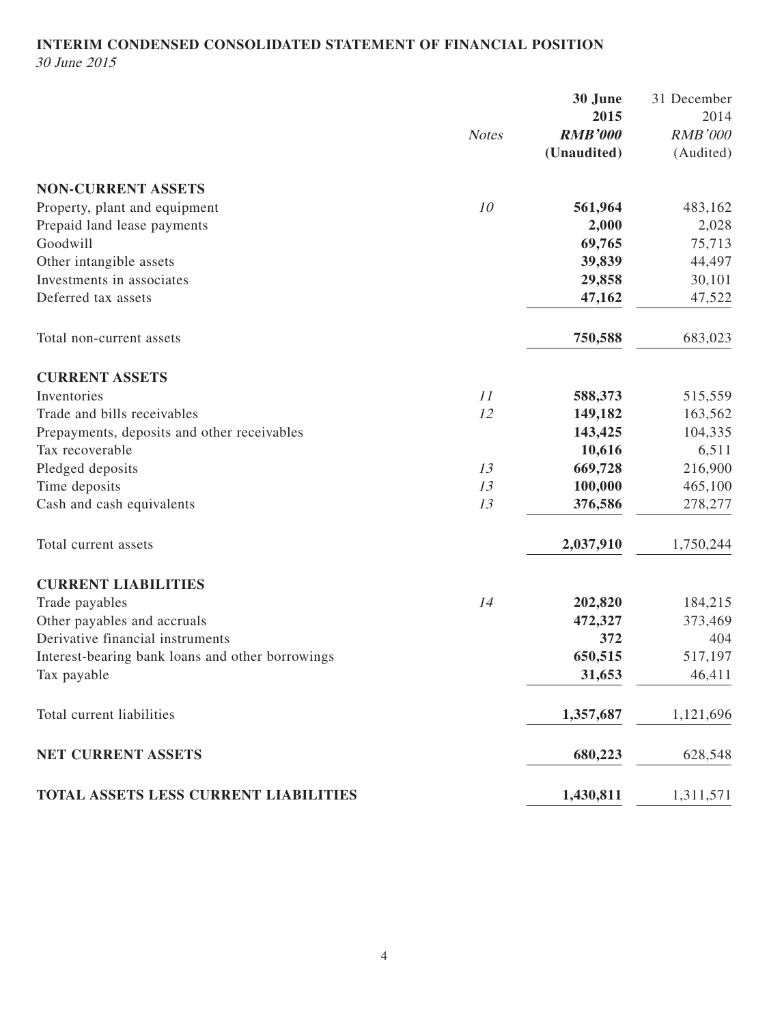# **INTERIM CONDENSED CONSOLIDATED STATEMENT OF FINANCIAL POSITION** 30 June 2015

|                                                  | <b>Notes</b> | 30 June<br>2015<br><b>RMB'000</b><br>(Unaudited) | 31 December<br>2014<br><b>RMB'000</b><br>(Audited) |
|--------------------------------------------------|--------------|--------------------------------------------------|----------------------------------------------------|
| <b>NON-CURRENT ASSETS</b>                        |              |                                                  |                                                    |
| Property, plant and equipment                    | 10           | 561,964                                          | 483,162                                            |
| Prepaid land lease payments                      |              | 2,000                                            | 2,028                                              |
| Goodwill                                         |              | 69,765                                           | 75,713                                             |
| Other intangible assets                          |              | 39,839                                           | 44,497                                             |
| Investments in associates                        |              | 29,858                                           | 30,101                                             |
| Deferred tax assets                              |              | 47,162                                           | 47,522                                             |
| Total non-current assets                         |              | 750,588                                          | 683,023                                            |
| <b>CURRENT ASSETS</b>                            |              |                                                  |                                                    |
| Inventories                                      | 11           | 588,373                                          | 515,559                                            |
| Trade and bills receivables                      | 12           | 149,182                                          | 163,562                                            |
| Prepayments, deposits and other receivables      |              | 143,425                                          | 104,335                                            |
| Tax recoverable                                  |              | 10,616                                           | 6,511                                              |
| Pledged deposits                                 | 13           | 669,728                                          | 216,900                                            |
| Time deposits                                    | 13           | 100,000                                          | 465,100                                            |
| Cash and cash equivalents                        | 13           | 376,586                                          | 278,277                                            |
| Total current assets                             |              | 2,037,910                                        | 1,750,244                                          |
| <b>CURRENT LIABILITIES</b>                       |              |                                                  |                                                    |
| Trade payables                                   | 14           | 202,820                                          | 184,215                                            |
| Other payables and accruals                      |              | 472,327                                          | 373,469                                            |
| Derivative financial instruments                 |              | 372                                              | 404                                                |
| Interest-bearing bank loans and other borrowings |              | 650,515                                          | 517,197                                            |
| Tax payable                                      |              | 31,653                                           | 46,411                                             |
| Total current liabilities                        |              | 1,357,687                                        | 1,121,696                                          |
| NET CURRENT ASSETS                               |              | 680,223                                          | 628,548                                            |
| TOTAL ASSETS LESS CURRENT LIABILITIES            |              | 1,430,811                                        | 1,311,571                                          |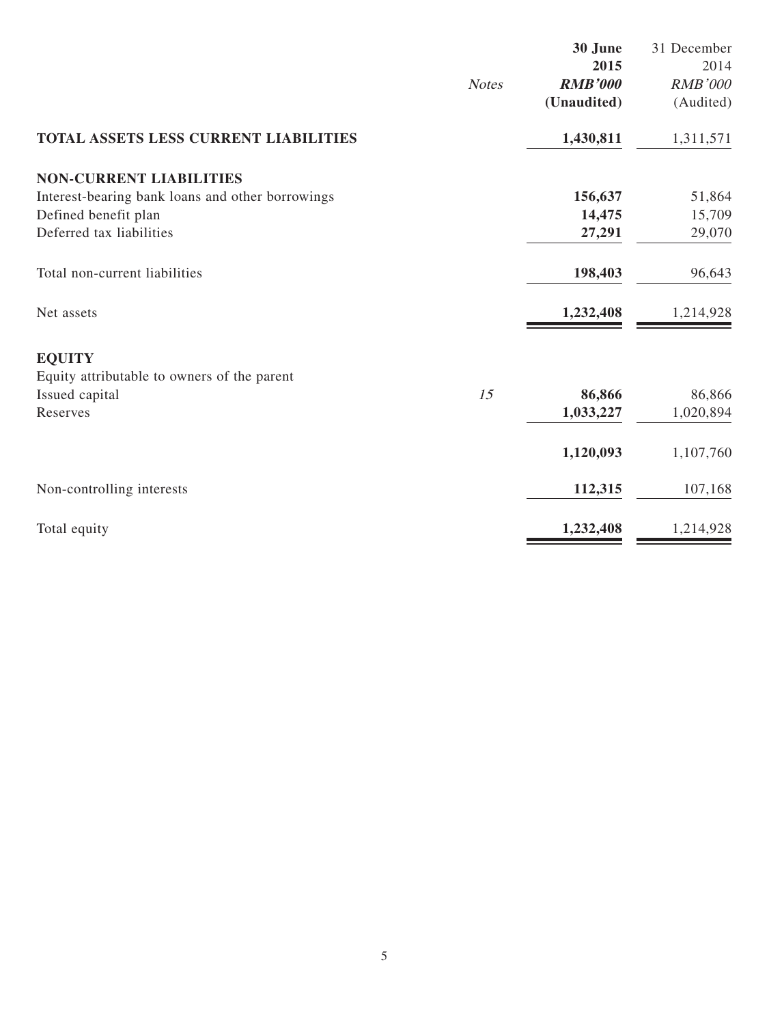|                                                  |              | 30 June        | 31 December    |
|--------------------------------------------------|--------------|----------------|----------------|
|                                                  |              | 2015           | 2014           |
|                                                  | <b>Notes</b> | <b>RMB'000</b> | <b>RMB'000</b> |
|                                                  |              | (Unaudited)    | (Audited)      |
| TOTAL ASSETS LESS CURRENT LIABILITIES            |              | 1,430,811      | 1,311,571      |
| <b>NON-CURRENT LIABILITIES</b>                   |              |                |                |
| Interest-bearing bank loans and other borrowings |              | 156,637        | 51,864         |
| Defined benefit plan                             |              | 14,475         | 15,709         |
| Deferred tax liabilities                         |              | 27,291         | 29,070         |
| Total non-current liabilities                    |              | 198,403        | 96,643         |
| Net assets                                       |              | 1,232,408      | 1,214,928      |
| <b>EQUITY</b>                                    |              |                |                |
| Equity attributable to owners of the parent      |              |                |                |
| Issued capital                                   | 15           | 86,866         | 86,866         |
| Reserves                                         |              | 1,033,227      | 1,020,894      |
|                                                  |              | 1,120,093      | 1,107,760      |
| Non-controlling interests                        |              | 112,315        | 107,168        |
| Total equity                                     |              | 1,232,408      | 1,214,928      |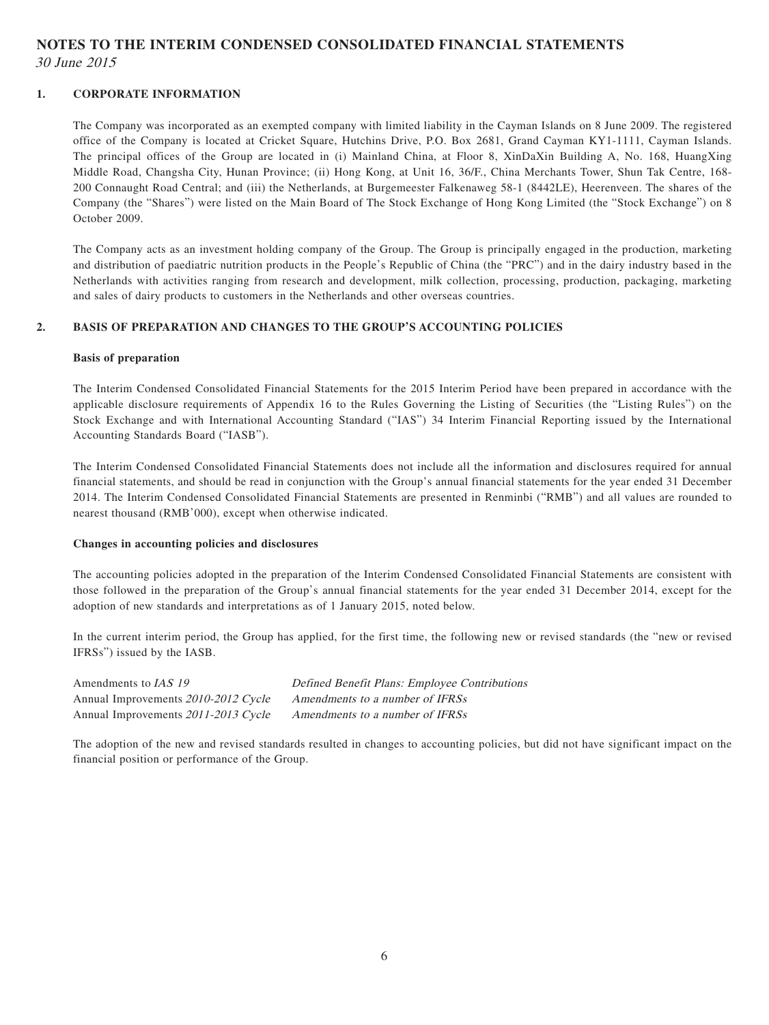# **NOTES TO THE INTERIM CONDENSED CONSOLIDATED FINANCIAL STATEMENTS**

30 June 2015

#### **1. CORPORATE INFORMATION**

The Company was incorporated as an exempted company with limited liability in the Cayman Islands on 8 June 2009. The registered office of the Company is located at Cricket Square, Hutchins Drive, P.O. Box 2681, Grand Cayman KY1-1111, Cayman Islands. The principal offices of the Group are located in (i) Mainland China, at Floor 8, XinDaXin Building A, No. 168, HuangXing Middle Road, Changsha City, Hunan Province; (ii) Hong Kong, at Unit 16, 36/F., China Merchants Tower, Shun Tak Centre, 168- 200 Connaught Road Central; and (iii) the Netherlands, at Burgemeester Falkenaweg 58-1 (8442LE), Heerenveen. The shares of the Company (the "Shares") were listed on the Main Board of The Stock Exchange of Hong Kong Limited (the "Stock Exchange") on 8 October 2009.

The Company acts as an investment holding company of the Group. The Group is principally engaged in the production, marketing and distribution of paediatric nutrition products in the People's Republic of China (the "PRC") and in the dairy industry based in the Netherlands with activities ranging from research and development, milk collection, processing, production, packaging, marketing and sales of dairy products to customers in the Netherlands and other overseas countries.

#### **2. BASIS OF PREPARATION AND CHANGES TO THE GROUP'S ACCOUNTING POLICIES**

#### **Basis of preparation**

The Interim Condensed Consolidated Financial Statements for the 2015 Interim Period have been prepared in accordance with the applicable disclosure requirements of Appendix 16 to the Rules Governing the Listing of Securities (the "Listing Rules") on the Stock Exchange and with International Accounting Standard ("IAS") 34 Interim Financial Reporting issued by the International Accounting Standards Board ("IASB").

The Interim Condensed Consolidated Financial Statements does not include all the information and disclosures required for annual financial statements, and should be read in conjunction with the Group's annual financial statements for the year ended 31 December 2014. The Interim Condensed Consolidated Financial Statements are presented in Renminbi ("RMB") and all values are rounded to nearest thousand (RMB'000), except when otherwise indicated.

#### **Changes in accounting policies and disclosures**

The accounting policies adopted in the preparation of the Interim Condensed Consolidated Financial Statements are consistent with those followed in the preparation of the Group's annual financial statements for the year ended 31 December 2014, except for the adoption of new standards and interpretations as of 1 January 2015, noted below.

In the current interim period, the Group has applied, for the first time, the following new or revised standards (the "new or revised IFRSs") issued by the IASB.

Annual Improvements 2010-2012 Cycle Amendments to a number of IFRSs Annual Improvements 2011-2013 Cycle Amendments to a number of IFRSs

Amendments to IAS 19 Defined Benefit Plans: Employee Contributions

The adoption of the new and revised standards resulted in changes to accounting policies, but did not have significant impact on the financial position or performance of the Group.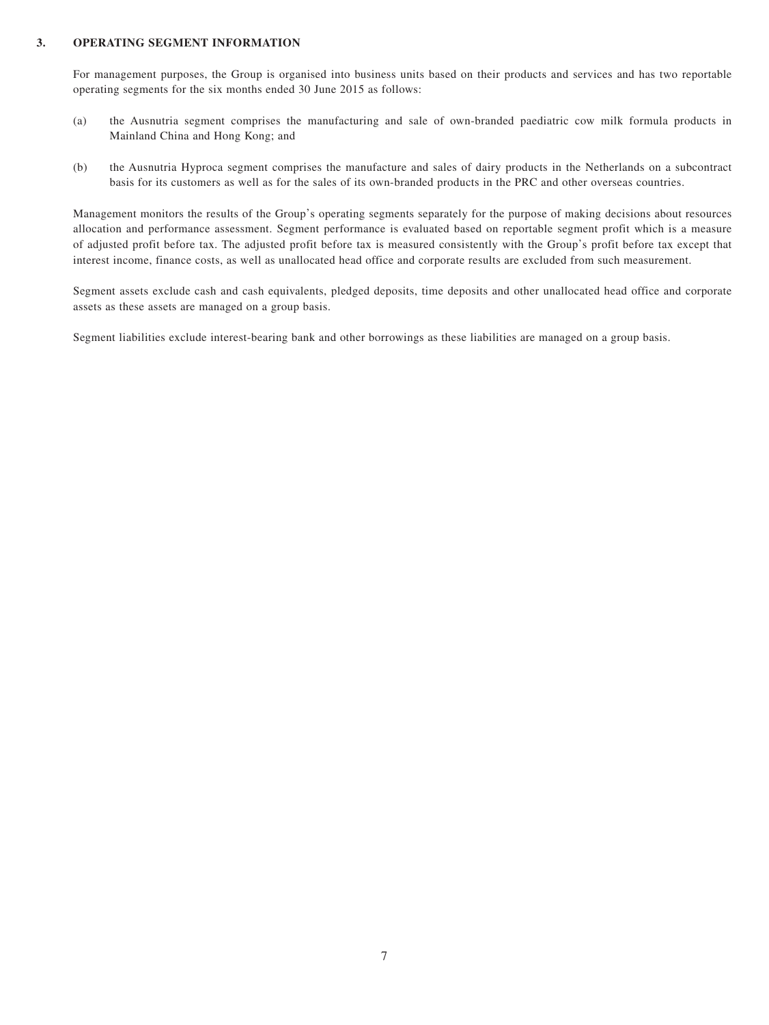#### **3. OPERATING SEGMENT INFORMATION**

For management purposes, the Group is organised into business units based on their products and services and has two reportable operating segments for the six months ended 30 June 2015 as follows:

- (a) the Ausnutria segment comprises the manufacturing and sale of own-branded paediatric cow milk formula products in Mainland China and Hong Kong; and
- (b) the Ausnutria Hyproca segment comprises the manufacture and sales of dairy products in the Netherlands on a subcontract basis for its customers as well as for the sales of its own-branded products in the PRC and other overseas countries.

Management monitors the results of the Group's operating segments separately for the purpose of making decisions about resources allocation and performance assessment. Segment performance is evaluated based on reportable segment profit which is a measure of adjusted profit before tax. The adjusted profit before tax is measured consistently with the Group's profit before tax except that interest income, finance costs, as well as unallocated head office and corporate results are excluded from such measurement.

Segment assets exclude cash and cash equivalents, pledged deposits, time deposits and other unallocated head office and corporate assets as these assets are managed on a group basis.

Segment liabilities exclude interest-bearing bank and other borrowings as these liabilities are managed on a group basis.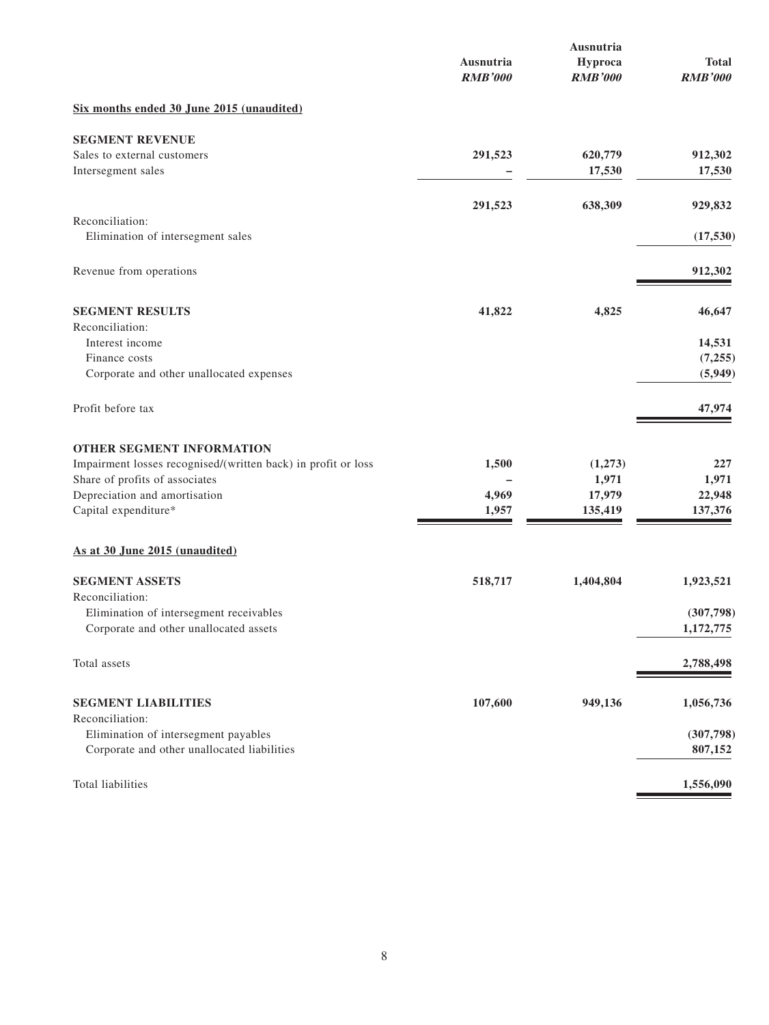|                                                               | Ausnutria<br><b>RMB'000</b> | Ausnutria<br>Hyproca<br><b>RMB'000</b> | <b>Total</b><br><b>RMB'000</b> |
|---------------------------------------------------------------|-----------------------------|----------------------------------------|--------------------------------|
| Six months ended 30 June 2015 (unaudited)                     |                             |                                        |                                |
| <b>SEGMENT REVENUE</b>                                        |                             |                                        |                                |
| Sales to external customers<br>Intersegment sales             | 291,523                     | 620,779<br>17,530                      | 912,302<br>17,530              |
|                                                               | 291,523                     | 638,309                                | 929,832                        |
| Reconciliation:<br>Elimination of intersegment sales          |                             |                                        | (17, 530)                      |
| Revenue from operations                                       |                             |                                        | 912,302                        |
| <b>SEGMENT RESULTS</b>                                        | 41,822                      | 4,825                                  | 46,647                         |
| Reconciliation:<br>Interest income                            |                             |                                        | 14,531                         |
| Finance costs                                                 |                             |                                        | (7,255)                        |
| Corporate and other unallocated expenses                      |                             |                                        | (5,949)                        |
| Profit before tax                                             |                             |                                        | 47,974                         |
| <b>OTHER SEGMENT INFORMATION</b>                              |                             |                                        |                                |
| Impairment losses recognised/(written back) in profit or loss | 1,500                       | (1,273)                                | 227                            |
| Share of profits of associates                                |                             | 1,971                                  | 1,971                          |
| Depreciation and amortisation<br>Capital expenditure*         | 4,969<br>1,957              | 17,979<br>135,419                      | 22,948<br>137,376              |
| As at 30 June 2015 (unaudited)                                |                             |                                        |                                |
| <b>SEGMENT ASSETS</b><br>Reconciliation:                      | 518,717                     | 1,404,804                              | 1,923,521                      |
| Elimination of intersegment receivables                       |                             |                                        | (307,798)                      |
| Corporate and other unallocated assets                        |                             |                                        | 1,172,775                      |
| Total assets                                                  |                             |                                        | 2,788,498                      |
| <b>SEGMENT LIABILITIES</b><br>Reconciliation:                 | 107,600                     | 949,136                                | 1,056,736                      |
| Elimination of intersegment payables                          |                             |                                        | (307,798)                      |
| Corporate and other unallocated liabilities                   |                             |                                        | 807,152                        |
| Total liabilities                                             |                             |                                        | 1,556,090                      |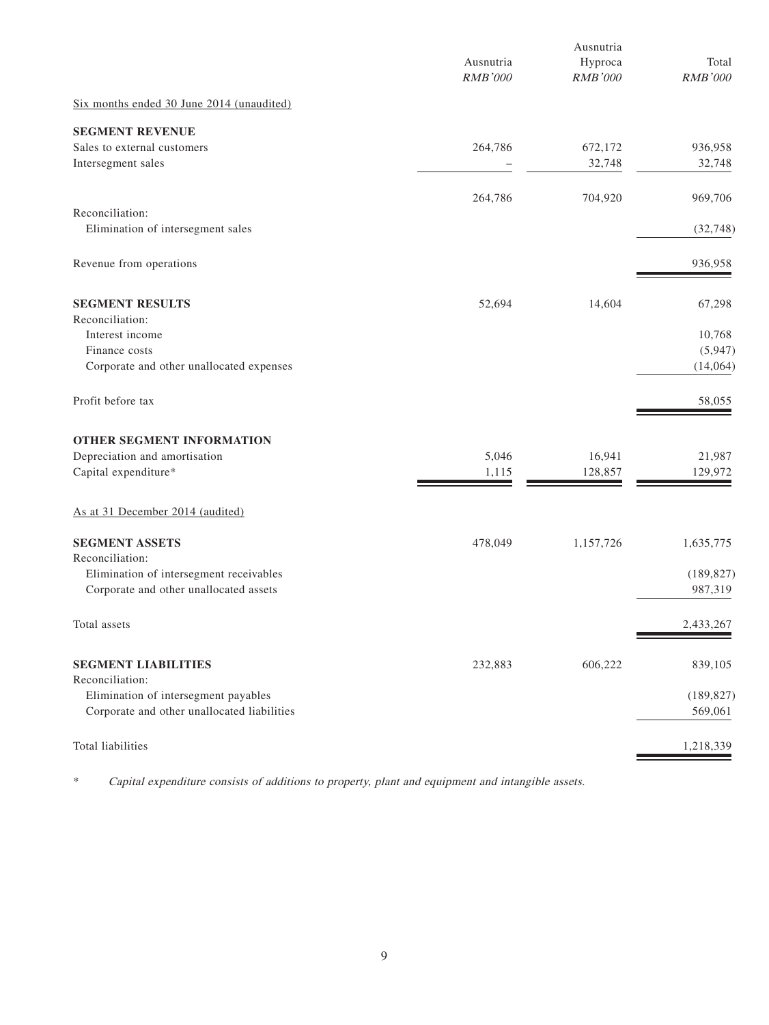|                                                            | Ausnutria<br><b>RMB'000</b> | Ausnutria<br>Hyproca<br>RMB'000 | Total<br><b>RMB'000</b> |
|------------------------------------------------------------|-----------------------------|---------------------------------|-------------------------|
| Six months ended 30 June 2014 (unaudited)                  |                             |                                 |                         |
| <b>SEGMENT REVENUE</b>                                     |                             |                                 |                         |
| Sales to external customers<br>Intersegment sales          | 264,786                     | 672,172<br>32,748               | 936,958<br>32,748       |
|                                                            | 264,786                     | 704,920                         | 969,706                 |
| Reconciliation:<br>Elimination of intersegment sales       |                             |                                 | (32, 748)               |
| Revenue from operations                                    |                             |                                 | 936,958                 |
| <b>SEGMENT RESULTS</b><br>Reconciliation:                  | 52,694                      | 14,604                          | 67,298                  |
| Interest income<br>Finance costs                           |                             |                                 | 10,768<br>(5,947)       |
| Corporate and other unallocated expenses                   |                             |                                 | (14,064)                |
| Profit before tax                                          |                             |                                 | 58,055                  |
| OTHER SEGMENT INFORMATION                                  |                             |                                 |                         |
| Depreciation and amortisation<br>Capital expenditure*      | 5,046<br>1,115              | 16,941<br>128,857               | 21,987<br>129,972       |
| As at 31 December 2014 (audited)                           |                             |                                 |                         |
| <b>SEGMENT ASSETS</b>                                      | 478,049                     | 1,157,726                       | 1,635,775               |
| Reconciliation:<br>Elimination of intersegment receivables |                             |                                 | (189, 827)              |
| Corporate and other unallocated assets                     |                             |                                 | 987,319                 |
| Total assets                                               |                             |                                 | 2,433,267               |
| <b>SEGMENT LIABILITIES</b><br>Reconciliation:              | 232,883                     | 606,222                         | 839,105                 |
| Elimination of intersegment payables                       |                             |                                 | (189, 827)              |
| Corporate and other unallocated liabilities                |                             |                                 | 569,061                 |
| Total liabilities                                          |                             |                                 | 1,218,339               |

\* Capital expenditure consists of additions to property, plant and equipment and intangible assets.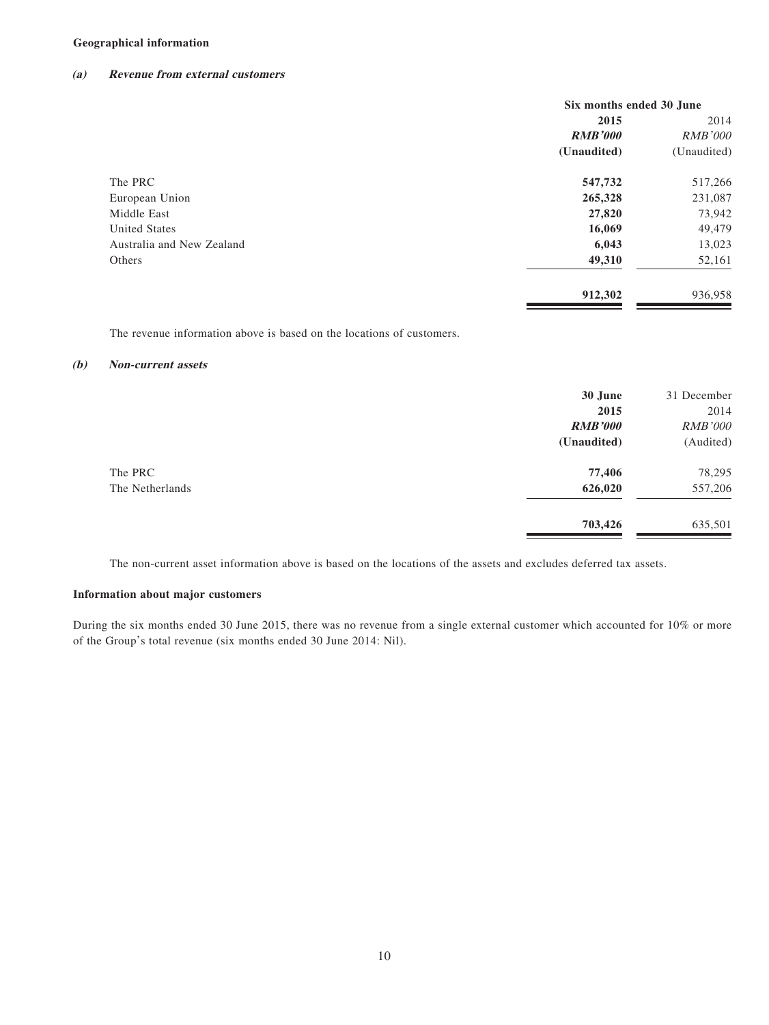#### **Geographical information**

#### **(a) Revenue from external customers**

|                           | Six months ended 30 June |                |
|---------------------------|--------------------------|----------------|
|                           | 2015                     | 2014           |
|                           | <b>RMB'000</b>           | <b>RMB'000</b> |
|                           | (Unaudited)              | (Unaudited)    |
| The PRC                   | 547,732                  | 517,266        |
| European Union            | 265,328                  | 231,087        |
| Middle East               | 27,820                   | 73,942         |
| <b>United States</b>      | 16,069                   | 49,479         |
| Australia and New Zealand | 6,043                    | 13,023         |
| Others                    | 49,310                   | 52,161         |
|                           | 912,302                  | 936,958        |

The revenue information above is based on the locations of customers.

#### **(b) Non-current assets**

|                 | 30 June        | 31 December    |
|-----------------|----------------|----------------|
|                 | 2015           | 2014           |
|                 | <b>RMB'000</b> | <b>RMB'000</b> |
|                 | (Unaudited)    | (Audited)      |
| The PRC         | 77,406         | 78,295         |
| The Netherlands | 626,020        | 557,206        |
|                 | 703,426        | 635,501        |

The non-current asset information above is based on the locations of the assets and excludes deferred tax assets.

#### **Information about major customers**

During the six months ended 30 June 2015, there was no revenue from a single external customer which accounted for 10% or more of the Group's total revenue (six months ended 30 June 2014: Nil).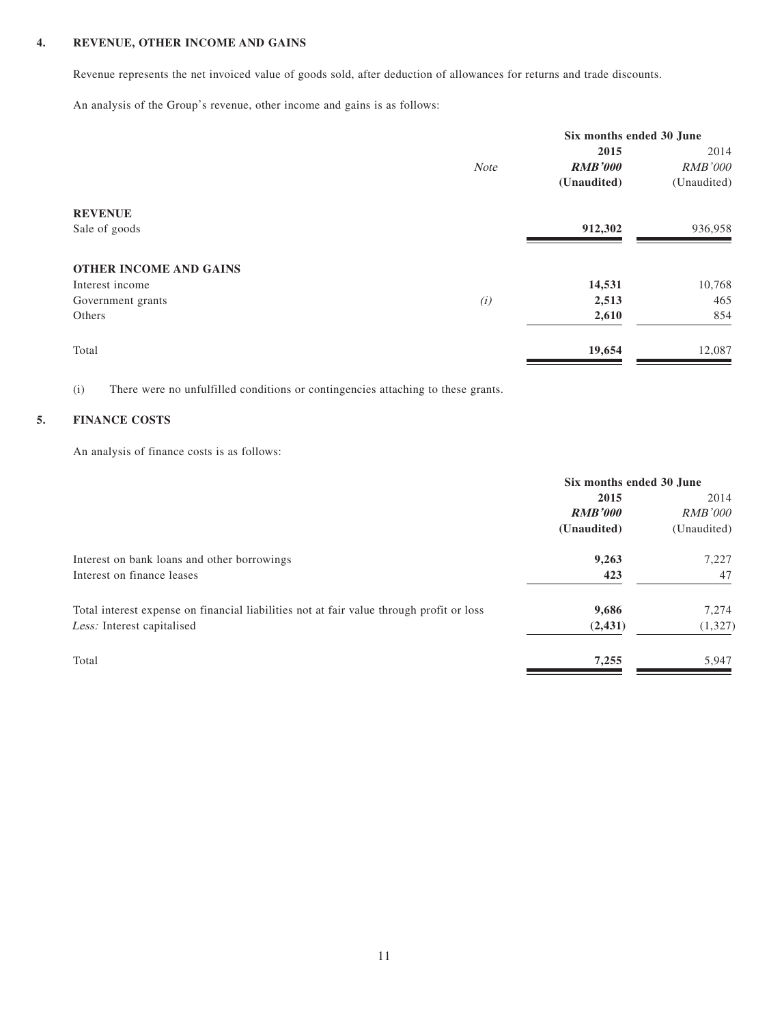### **4. REVENUE, OTHER INCOME AND GAINS**

Revenue represents the net invoiced value of goods sold, after deduction of allowances for returns and trade discounts.

An analysis of the Group's revenue, other income and gains is as follows:

|                               |             | Six months ended 30 June |                |  |
|-------------------------------|-------------|--------------------------|----------------|--|
|                               |             | 2015                     | 2014           |  |
|                               | <b>Note</b> | <b>RMB'000</b>           | <b>RMB'000</b> |  |
|                               |             | (Unaudited)              | (Unaudited)    |  |
| <b>REVENUE</b>                |             |                          |                |  |
| Sale of goods                 |             | 912,302                  | 936,958        |  |
| <b>OTHER INCOME AND GAINS</b> |             |                          |                |  |
| Interest income               |             | 14,531                   | 10,768         |  |
| Government grants             | (i)         | 2,513                    | 465            |  |
| Others                        |             | 2,610                    | 854            |  |
| Total                         |             | 19,654                   | 12,087         |  |

(i) There were no unfulfilled conditions or contingencies attaching to these grants.

## **5. FINANCE COSTS**

An analysis of finance costs is as follows:

|                                                                                          | Six months ended 30 June |                |
|------------------------------------------------------------------------------------------|--------------------------|----------------|
|                                                                                          | 2015                     | 2014           |
|                                                                                          | <b>RMB'000</b>           | <i>RMB'000</i> |
|                                                                                          | (Unaudited)              | (Unaudited)    |
| Interest on bank loans and other borrowings                                              | 9,263                    | 7,227          |
| Interest on finance leases                                                               | 423                      | 47             |
| Total interest expense on financial liabilities not at fair value through profit or loss | 9,686                    | 7,274          |
| Less: Interest capitalised                                                               | (2, 431)                 | (1, 327)       |
| Total                                                                                    | 7,255                    | 5,947          |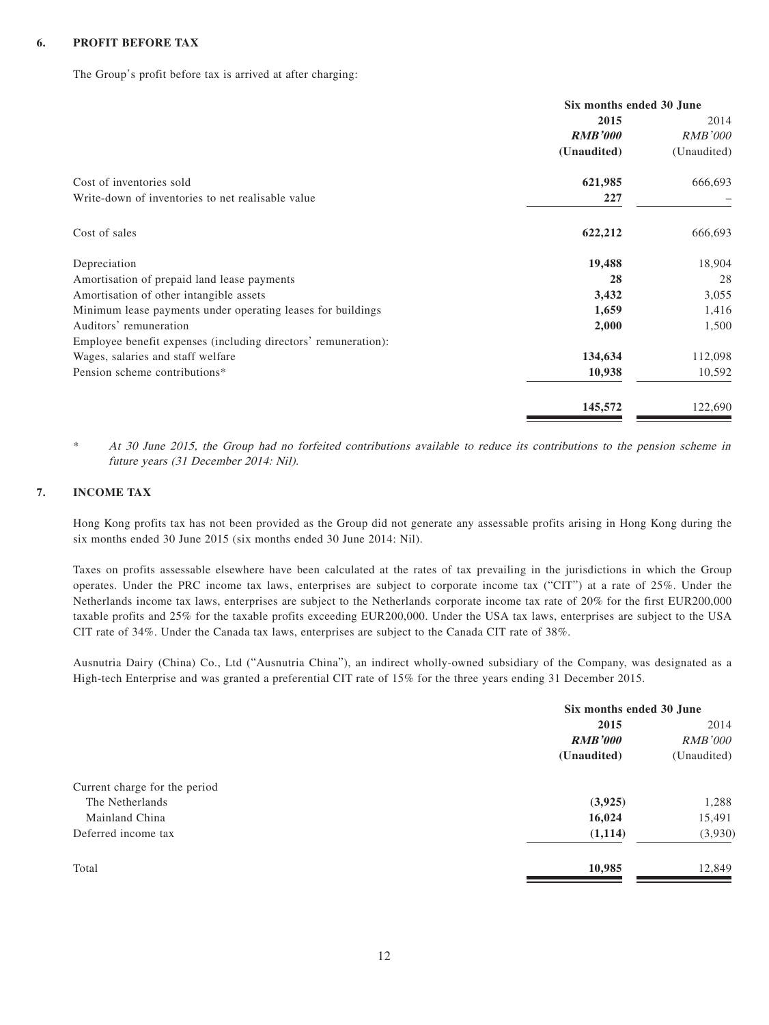#### **6. PROFIT BEFORE TAX**

The Group's profit before tax is arrived at after charging:

|                                                                      | Six months ended 30 June |  |
|----------------------------------------------------------------------|--------------------------|--|
| 2015                                                                 | 2014                     |  |
| <b>RMB'000</b>                                                       | <b>RMB'000</b>           |  |
| (Unaudited)                                                          | (Unaudited)              |  |
| Cost of inventories sold<br>621,985                                  | 666,693                  |  |
| Write-down of inventories to net realisable value<br>227             |                          |  |
| Cost of sales<br>622,212                                             | 666,693                  |  |
| 19,488<br>Depreciation                                               | 18,904                   |  |
| 28<br>Amortisation of prepaid land lease payments                    | 28                       |  |
| 3,432<br>Amortisation of other intangible assets                     | 3,055                    |  |
| 1,659<br>Minimum lease payments under operating leases for buildings | 1,416                    |  |
| 2,000<br>Auditors' remuneration                                      | 1,500                    |  |
| Employee benefit expenses (including directors' remuneration):       |                          |  |
| 134,634<br>Wages, salaries and staff welfare                         | 112,098                  |  |
| Pension scheme contributions*<br>10,938                              | 10,592                   |  |
| 145,572                                                              | 122,690                  |  |

\* At 30 June 2015, the Group had no forfeited contributions available to reduce its contributions to the pension scheme in future years (31 December 2014: Nil).

#### **7. INCOME TAX**

Hong Kong profits tax has not been provided as the Group did not generate any assessable profits arising in Hong Kong during the six months ended 30 June 2015 (six months ended 30 June 2014: Nil).

Taxes on profits assessable elsewhere have been calculated at the rates of tax prevailing in the jurisdictions in which the Group operates. Under the PRC income tax laws, enterprises are subject to corporate income tax ("CIT") at a rate of 25%. Under the Netherlands income tax laws, enterprises are subject to the Netherlands corporate income tax rate of 20% for the first EUR200,000 taxable profits and 25% for the taxable profits exceeding EUR200,000. Under the USA tax laws, enterprises are subject to the USA CIT rate of 34%. Under the Canada tax laws, enterprises are subject to the Canada CIT rate of 38%.

Ausnutria Dairy (China) Co., Ltd ("Ausnutria China"), an indirect wholly-owned subsidiary of the Company, was designated as a High-tech Enterprise and was granted a preferential CIT rate of 15% for the three years ending 31 December 2015.

|                               | Six months ended 30 June |                |
|-------------------------------|--------------------------|----------------|
|                               | 2015                     | 2014           |
|                               | <b>RMB'000</b>           | <i>RMB'000</i> |
|                               | (Unaudited)              | (Unaudited)    |
| Current charge for the period |                          |                |
| The Netherlands               | (3,925)                  | 1,288          |
| Mainland China                | 16,024                   | 15,491         |
| Deferred income tax           | (1,114)                  | (3,930)        |
| Total                         | 10,985                   | 12,849         |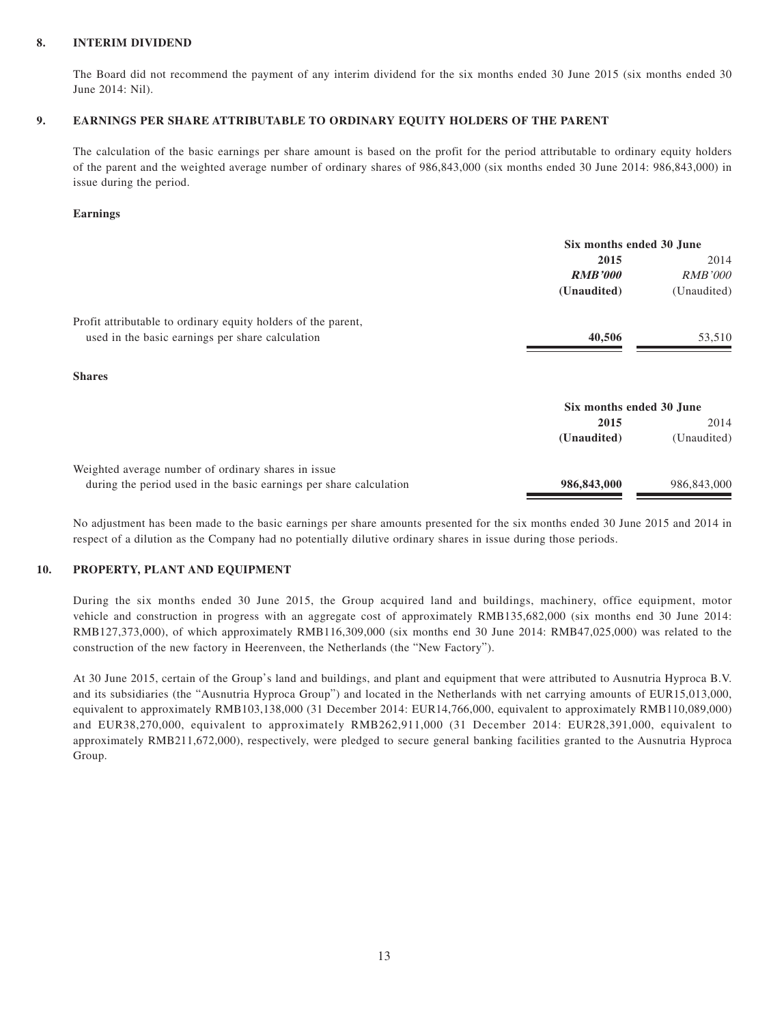#### **8. INTERIM DIVIDEND**

The Board did not recommend the payment of any interim dividend for the six months ended 30 June 2015 (six months ended 30 June 2014: Nil).

#### **9. EARNINGS PER SHARE ATTRIBUTABLE TO ORDINARY EQUITY HOLDERS OF THE PARENT**

The calculation of the basic earnings per share amount is based on the profit for the period attributable to ordinary equity holders of the parent and the weighted average number of ordinary shares of 986,843,000 (six months ended 30 June 2014: 986,843,000) in issue during the period.

#### **Earnings**

|                                                                    | Six months ended 30 June |                |
|--------------------------------------------------------------------|--------------------------|----------------|
|                                                                    | 2015                     | 2014           |
|                                                                    | <b>RMB'000</b>           | <i>RMB'000</i> |
|                                                                    | (Unaudited)              | (Unaudited)    |
| Profit attributable to ordinary equity holders of the parent,      |                          |                |
| used in the basic earnings per share calculation                   | 40,506                   | 53,510         |
| <b>Shares</b>                                                      |                          |                |
|                                                                    | Six months ended 30 June |                |
|                                                                    | 2015                     | 2014           |
|                                                                    | (Unaudited)              | (Unaudited)    |
| Weighted average number of ordinary shares in issue                |                          |                |
| during the period used in the basic earnings per share calculation | 986,843,000              | 986,843,000    |

No adjustment has been made to the basic earnings per share amounts presented for the six months ended 30 June 2015 and 2014 in respect of a dilution as the Company had no potentially dilutive ordinary shares in issue during those periods.

#### **10. PROPERTY, PLANT AND EQUIPMENT**

During the six months ended 30 June 2015, the Group acquired land and buildings, machinery, office equipment, motor vehicle and construction in progress with an aggregate cost of approximately RMB135,682,000 (six months end 30 June 2014: RMB127,373,000), of which approximately RMB116,309,000 (six months end 30 June 2014: RMB47,025,000) was related to the construction of the new factory in Heerenveen, the Netherlands (the "New Factory").

At 30 June 2015, certain of the Group's land and buildings, and plant and equipment that were attributed to Ausnutria Hyproca B.V. and its subsidiaries (the "Ausnutria Hyproca Group") and located in the Netherlands with net carrying amounts of EUR15,013,000, equivalent to approximately RMB103,138,000 (31 December 2014: EUR14,766,000, equivalent to approximately RMB110,089,000) and EUR38,270,000, equivalent to approximately RMB262,911,000 (31 December 2014: EUR28,391,000, equivalent to approximately RMB211,672,000), respectively, were pledged to secure general banking facilities granted to the Ausnutria Hyproca Group.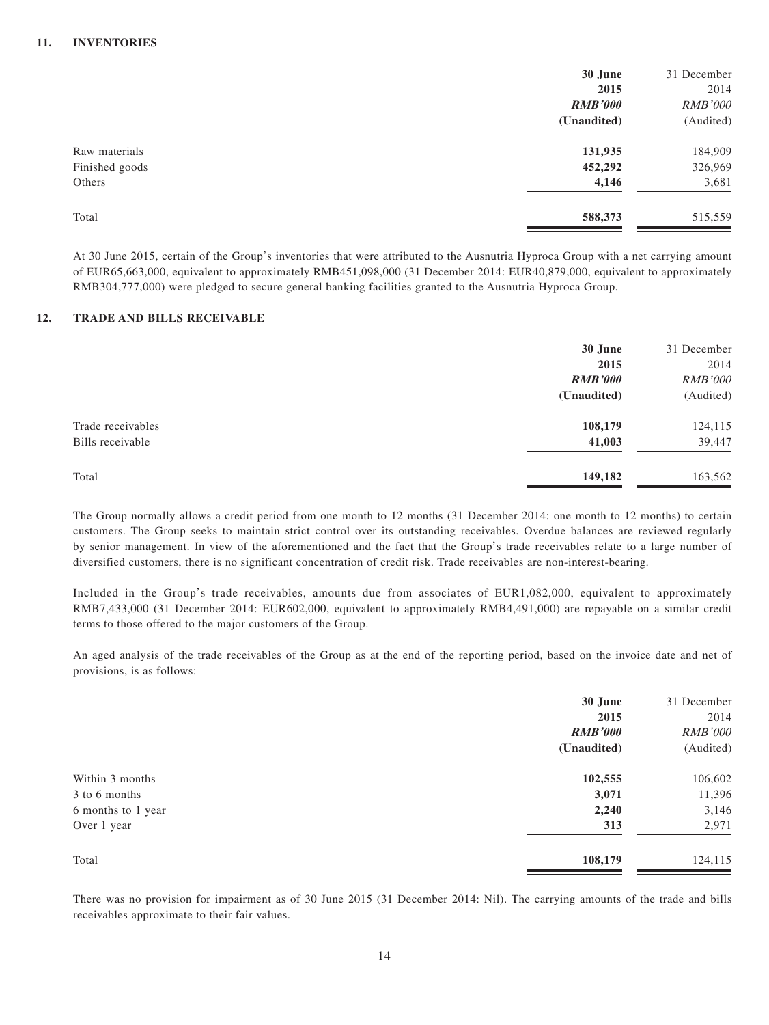#### **11. INVENTORIES**

|                | 30 June        | 31 December    |
|----------------|----------------|----------------|
|                | 2015           | 2014           |
|                | <b>RMB'000</b> | <b>RMB'000</b> |
|                | (Unaudited)    | (Audited)      |
| Raw materials  | 131,935        | 184,909        |
| Finished goods | 452,292        | 326,969        |
| Others         | 4,146          | 3,681          |
| Total          | 588,373        | 515,559        |

At 30 June 2015, certain of the Group's inventories that were attributed to the Ausnutria Hyproca Group with a net carrying amount of EUR65,663,000, equivalent to approximately RMB451,098,000 (31 December 2014: EUR40,879,000, equivalent to approximately RMB304,777,000) were pledged to secure general banking facilities granted to the Ausnutria Hyproca Group.

#### **12. TRADE AND BILLS RECEIVABLE**

|                   | 30 June<br>2015 | 31 December<br>2014 |
|-------------------|-----------------|---------------------|
|                   | <b>RMB'000</b>  | <b>RMB'000</b>      |
|                   | (Unaudited)     | (Audited)           |
| Trade receivables | 108,179         | 124,115             |
| Bills receivable  | 41,003          | 39,447              |
| Total             | 149,182         | 163,562             |

The Group normally allows a credit period from one month to 12 months (31 December 2014: one month to 12 months) to certain customers. The Group seeks to maintain strict control over its outstanding receivables. Overdue balances are reviewed regularly by senior management. In view of the aforementioned and the fact that the Group's trade receivables relate to a large number of diversified customers, there is no significant concentration of credit risk. Trade receivables are non-interest-bearing.

Included in the Group's trade receivables, amounts due from associates of EUR1,082,000, equivalent to approximately RMB7,433,000 (31 December 2014: EUR602,000, equivalent to approximately RMB4,491,000) are repayable on a similar credit terms to those offered to the major customers of the Group.

An aged analysis of the trade receivables of the Group as at the end of the reporting period, based on the invoice date and net of provisions, is as follows:

|                    | 30 June        | 31 December    |
|--------------------|----------------|----------------|
|                    | 2015           | 2014           |
|                    | <b>RMB'000</b> | <b>RMB'000</b> |
|                    | (Unaudited)    | (Audited)      |
| Within 3 months    | 102,555        | 106,602        |
| 3 to 6 months      | 3,071          | 11,396         |
| 6 months to 1 year | 2,240          | 3,146          |
| Over 1 year        | 313            | 2,971          |
| Total              | 108,179        | 124,115        |

There was no provision for impairment as of 30 June 2015 (31 December 2014: Nil). The carrying amounts of the trade and bills receivables approximate to their fair values.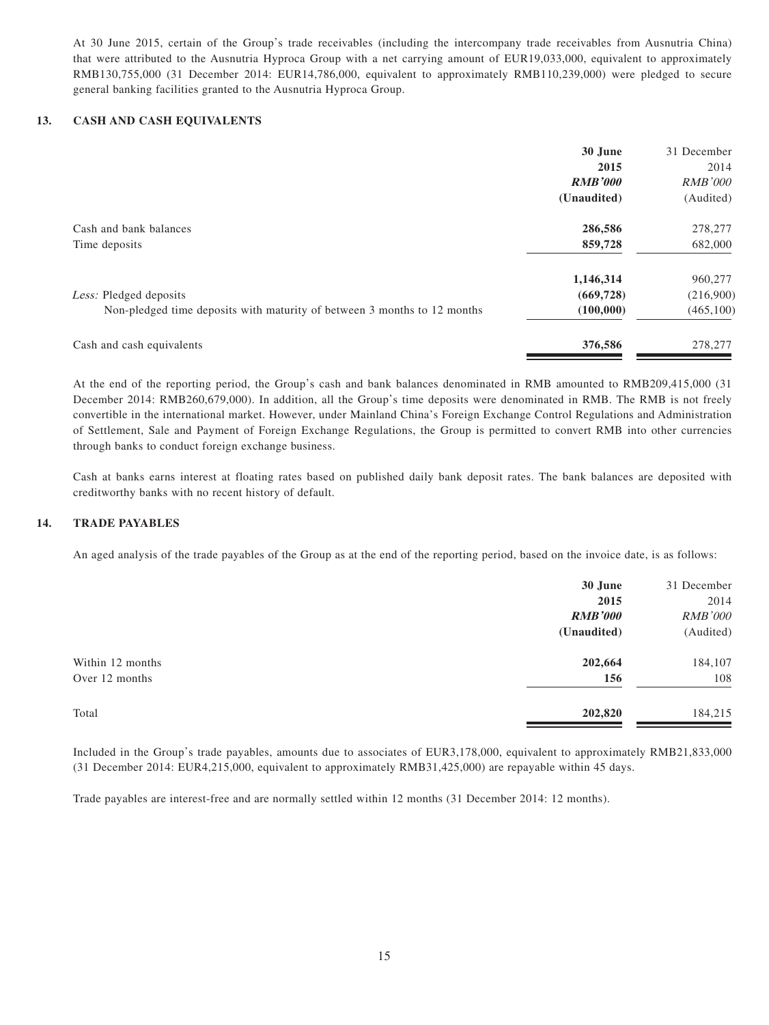At 30 June 2015, certain of the Group's trade receivables (including the intercompany trade receivables from Ausnutria China) that were attributed to the Ausnutria Hyproca Group with a net carrying amount of EUR19,033,000, equivalent to approximately RMB130,755,000 (31 December 2014: EUR14,786,000, equivalent to approximately RMB110,239,000) were pledged to secure general banking facilities granted to the Ausnutria Hyproca Group.

#### **13. CASH AND CASH EQUIVALENTS**

|                                                                          | 30 June        | 31 December    |
|--------------------------------------------------------------------------|----------------|----------------|
|                                                                          | 2015           | 2014           |
|                                                                          | <b>RMB'000</b> | <i>RMB'000</i> |
|                                                                          | (Unaudited)    | (Audited)      |
| Cash and bank balances                                                   | 286,586        | 278,277        |
| Time deposits                                                            | 859,728        | 682,000        |
|                                                                          | 1,146,314      | 960,277        |
| Less: Pledged deposits                                                   | (669, 728)     | (216,900)      |
| Non-pledged time deposits with maturity of between 3 months to 12 months | (100,000)      | (465, 100)     |
| Cash and cash equivalents                                                | 376,586        | 278,277        |
|                                                                          |                |                |

At the end of the reporting period, the Group's cash and bank balances denominated in RMB amounted to RMB209,415,000 (31 December 2014: RMB260,679,000). In addition, all the Group's time deposits were denominated in RMB. The RMB is not freely convertible in the international market. However, under Mainland China's Foreign Exchange Control Regulations and Administration of Settlement, Sale and Payment of Foreign Exchange Regulations, the Group is permitted to convert RMB into other currencies through banks to conduct foreign exchange business.

Cash at banks earns interest at floating rates based on published daily bank deposit rates. The bank balances are deposited with creditworthy banks with no recent history of default.

#### **14. TRADE PAYABLES**

An aged analysis of the trade payables of the Group as at the end of the reporting period, based on the invoice date, is as follows:

|                  | 30 June        | 31 December    |
|------------------|----------------|----------------|
|                  | 2015           | 2014           |
|                  | <b>RMB'000</b> | <b>RMB'000</b> |
|                  | (Unaudited)    | (Audited)      |
| Within 12 months | 202,664        | 184,107        |
| Over 12 months   | 156            | 108            |
| Total            | 202,820        | 184,215        |

Included in the Group's trade payables, amounts due to associates of EUR3,178,000, equivalent to approximately RMB21,833,000 (31 December 2014: EUR4,215,000, equivalent to approximately RMB31,425,000) are repayable within 45 days.

Trade payables are interest-free and are normally settled within 12 months (31 December 2014: 12 months).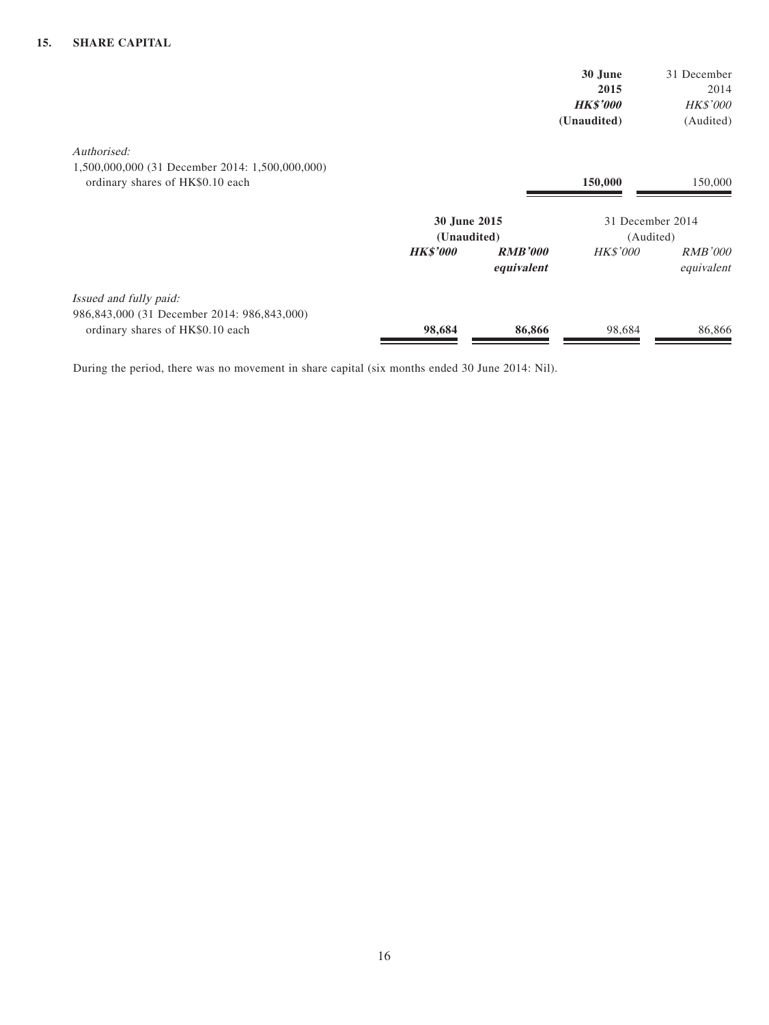|                                                                                                           |                                                |                              | 30 June<br>2015<br><b>HK\$'000</b><br>(Unaudited) | 31 December<br>2014<br><b>HK\$'000</b><br>(Audited) |
|-----------------------------------------------------------------------------------------------------------|------------------------------------------------|------------------------------|---------------------------------------------------|-----------------------------------------------------|
| Authorised:<br>1,500,000,000 (31 December 2014: 1,500,000,000)<br>ordinary shares of HK\$0.10 each        |                                                |                              | 150,000                                           | 150,000                                             |
|                                                                                                           | 30 June 2015<br>(Unaudited)<br><b>HK\$'000</b> | <b>RMB'000</b><br>equivalent | 31 December 2014<br>(Audited)<br><b>HK\$'000</b>  | <i>RMB'000</i><br>equivalent                        |
| Issued and fully paid:<br>986,843,000 (31 December 2014: 986,843,000)<br>ordinary shares of HK\$0.10 each | 98,684                                         | 86,866                       | 98,684                                            | 86,866                                              |

During the period, there was no movement in share capital (six months ended 30 June 2014: Nil).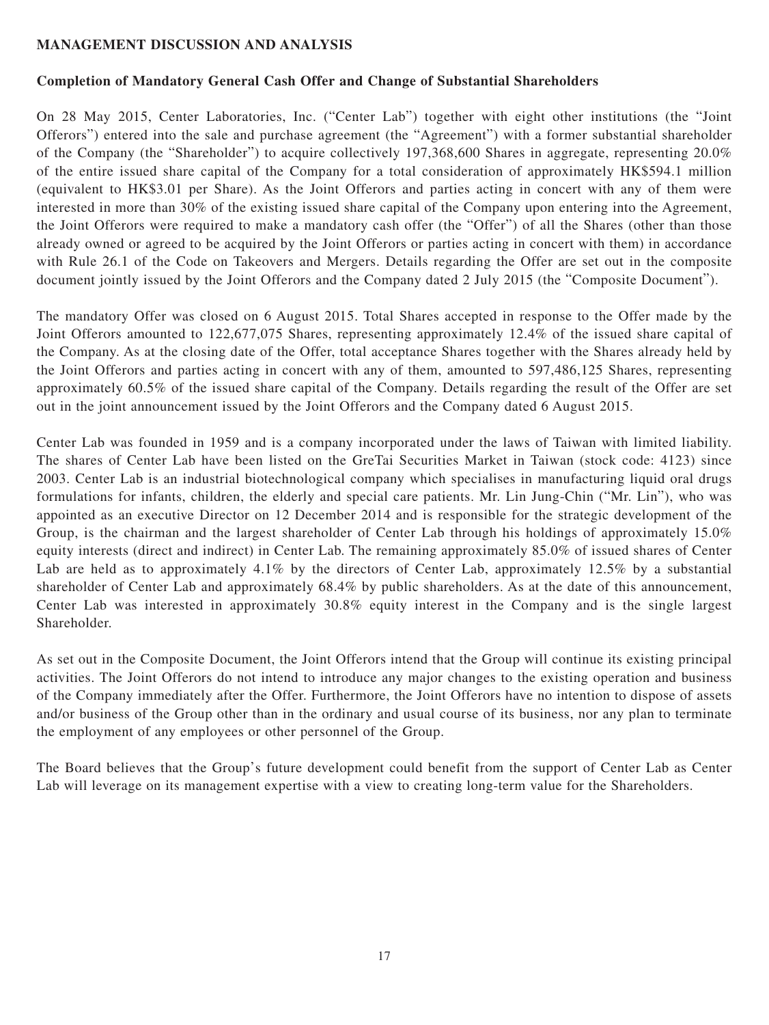## **MANAGEMENT DISCUSSION AND ANALYSIS**

# **Completion of Mandatory General Cash Offer and Change of Substantial Shareholders**

On 28 May 2015, Center Laboratories, Inc. ("Center Lab") together with eight other institutions (the "Joint Offerors") entered into the sale and purchase agreement (the "Agreement") with a former substantial shareholder of the Company (the "Shareholder") to acquire collectively 197,368,600 Shares in aggregate, representing 20.0% of the entire issued share capital of the Company for a total consideration of approximately HK\$594.1 million (equivalent to HK\$3.01 per Share). As the Joint Offerors and parties acting in concert with any of them were interested in more than 30% of the existing issued share capital of the Company upon entering into the Agreement, the Joint Offerors were required to make a mandatory cash offer (the "Offer") of all the Shares (other than those already owned or agreed to be acquired by the Joint Offerors or parties acting in concert with them) in accordance with Rule 26.1 of the Code on Takeovers and Mergers. Details regarding the Offer are set out in the composite document jointly issued by the Joint Offerors and the Company dated 2 July 2015 (the "Composite Document").

The mandatory Offer was closed on 6 August 2015. Total Shares accepted in response to the Offer made by the Joint Offerors amounted to 122,677,075 Shares, representing approximately 12.4% of the issued share capital of the Company. As at the closing date of the Offer, total acceptance Shares together with the Shares already held by the Joint Offerors and parties acting in concert with any of them, amounted to 597,486,125 Shares, representing approximately 60.5% of the issued share capital of the Company. Details regarding the result of the Offer are set out in the joint announcement issued by the Joint Offerors and the Company dated 6 August 2015.

Center Lab was founded in 1959 and is a company incorporated under the laws of Taiwan with limited liability. The shares of Center Lab have been listed on the GreTai Securities Market in Taiwan (stock code: 4123) since 2003. Center Lab is an industrial biotechnological company which specialises in manufacturing liquid oral drugs formulations for infants, children, the elderly and special care patients. Mr. Lin Jung-Chin ("Mr. Lin"), who was appointed as an executive Director on 12 December 2014 and is responsible for the strategic development of the Group, is the chairman and the largest shareholder of Center Lab through his holdings of approximately 15.0% equity interests (direct and indirect) in Center Lab. The remaining approximately 85.0% of issued shares of Center Lab are held as to approximately 4.1% by the directors of Center Lab, approximately 12.5% by a substantial shareholder of Center Lab and approximately 68.4% by public shareholders. As at the date of this announcement, Center Lab was interested in approximately 30.8% equity interest in the Company and is the single largest Shareholder.

As set out in the Composite Document, the Joint Offerors intend that the Group will continue its existing principal activities. The Joint Offerors do not intend to introduce any major changes to the existing operation and business of the Company immediately after the Offer. Furthermore, the Joint Offerors have no intention to dispose of assets and/or business of the Group other than in the ordinary and usual course of its business, nor any plan to terminate the employment of any employees or other personnel of the Group.

The Board believes that the Group's future development could benefit from the support of Center Lab as Center Lab will leverage on its management expertise with a view to creating long-term value for the Shareholders.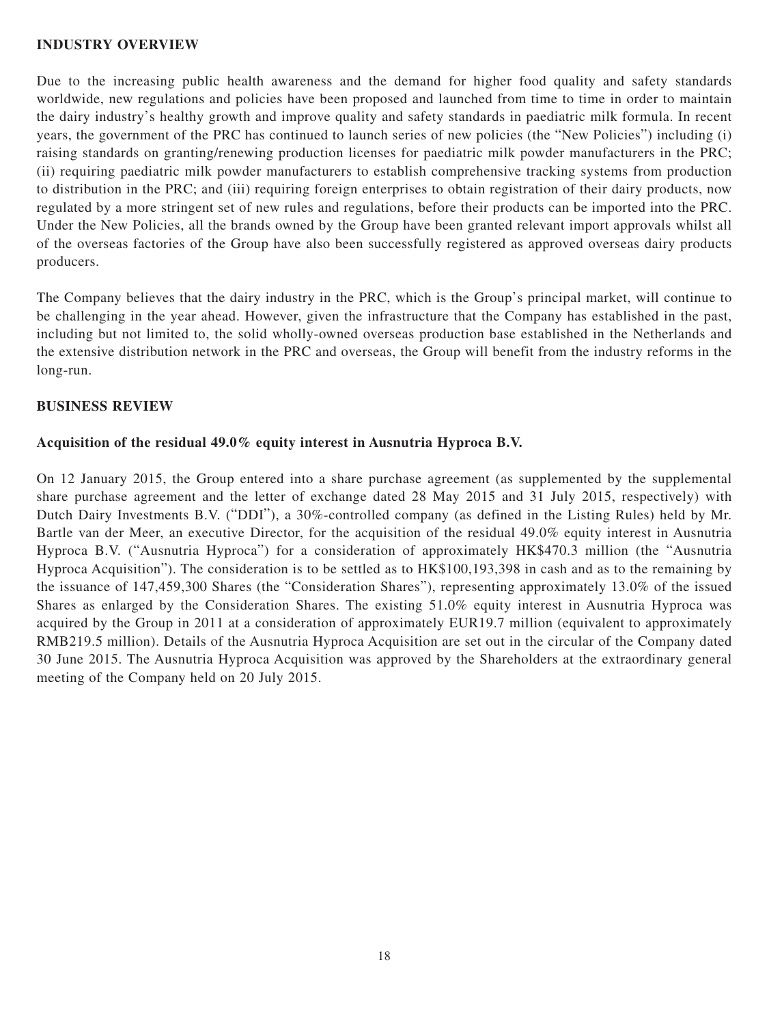#### **INDUSTRY OVERVIEW**

Due to the increasing public health awareness and the demand for higher food quality and safety standards worldwide, new regulations and policies have been proposed and launched from time to time in order to maintain the dairy industry's healthy growth and improve quality and safety standards in paediatric milk formula. In recent years, the government of the PRC has continued to launch series of new policies (the "New Policies") including (i) raising standards on granting/renewing production licenses for paediatric milk powder manufacturers in the PRC; (ii) requiring paediatric milk powder manufacturers to establish comprehensive tracking systems from production to distribution in the PRC; and (iii) requiring foreign enterprises to obtain registration of their dairy products, now regulated by a more stringent set of new rules and regulations, before their products can be imported into the PRC. Under the New Policies, all the brands owned by the Group have been granted relevant import approvals whilst all of the overseas factories of the Group have also been successfully registered as approved overseas dairy products producers.

The Company believes that the dairy industry in the PRC, which is the Group's principal market, will continue to be challenging in the year ahead. However, given the infrastructure that the Company has established in the past, including but not limited to, the solid wholly-owned overseas production base established in the Netherlands and the extensive distribution network in the PRC and overseas, the Group will benefit from the industry reforms in the long-run.

## **BUSINESS REVIEW**

## **Acquisition of the residual 49.0% equity interest in Ausnutria Hyproca B.V.**

On 12 January 2015, the Group entered into a share purchase agreement (as supplemented by the supplemental share purchase agreement and the letter of exchange dated 28 May 2015 and 31 July 2015, respectively) with Dutch Dairy Investments B.V. ("DDI"), a 30%-controlled company (as defined in the Listing Rules) held by Mr. Bartle van der Meer, an executive Director, for the acquisition of the residual 49.0% equity interest in Ausnutria Hyproca B.V. ("Ausnutria Hyproca") for a consideration of approximately HK\$470.3 million (the "Ausnutria Hyproca Acquisition"). The consideration is to be settled as to HK\$100,193,398 in cash and as to the remaining by the issuance of 147,459,300 Shares (the "Consideration Shares"), representing approximately 13.0% of the issued Shares as enlarged by the Consideration Shares. The existing 51.0% equity interest in Ausnutria Hyproca was acquired by the Group in 2011 at a consideration of approximately EUR19.7 million (equivalent to approximately RMB219.5 million). Details of the Ausnutria Hyproca Acquisition are set out in the circular of the Company dated 30 June 2015. The Ausnutria Hyproca Acquisition was approved by the Shareholders at the extraordinary general meeting of the Company held on 20 July 2015.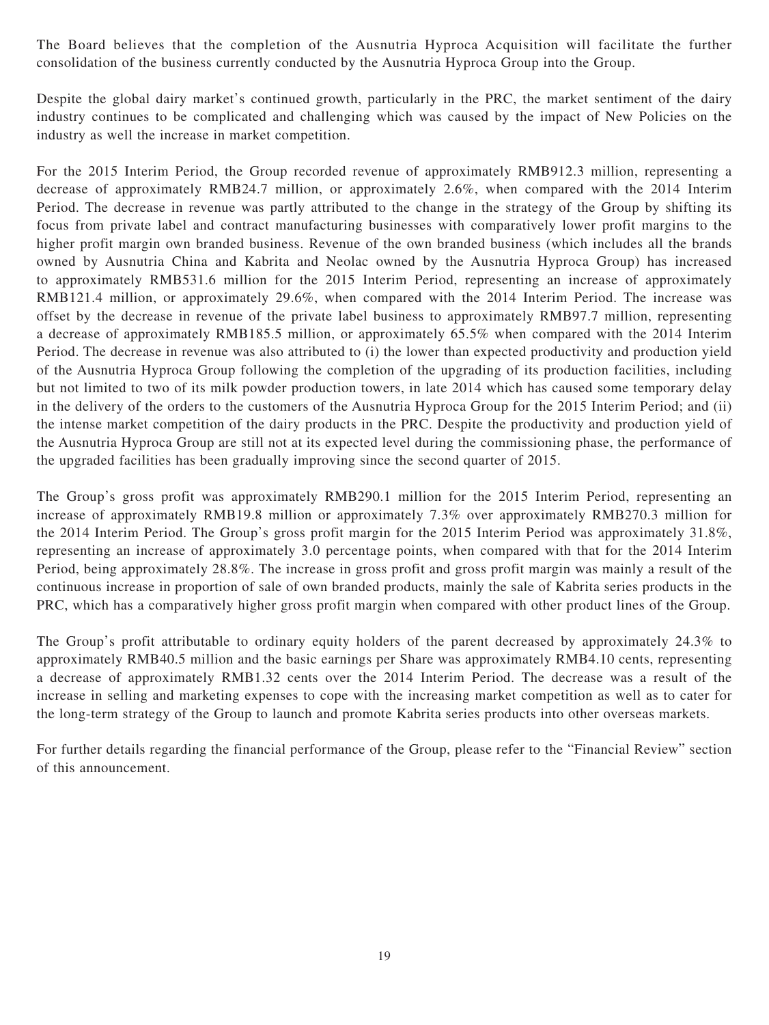The Board believes that the completion of the Ausnutria Hyproca Acquisition will facilitate the further consolidation of the business currently conducted by the Ausnutria Hyproca Group into the Group.

Despite the global dairy market's continued growth, particularly in the PRC, the market sentiment of the dairy industry continues to be complicated and challenging which was caused by the impact of New Policies on the industry as well the increase in market competition.

For the 2015 Interim Period, the Group recorded revenue of approximately RMB912.3 million, representing a decrease of approximately RMB24.7 million, or approximately 2.6%, when compared with the 2014 Interim Period. The decrease in revenue was partly attributed to the change in the strategy of the Group by shifting its focus from private label and contract manufacturing businesses with comparatively lower profit margins to the higher profit margin own branded business. Revenue of the own branded business (which includes all the brands owned by Ausnutria China and Kabrita and Neolac owned by the Ausnutria Hyproca Group) has increased to approximately RMB531.6 million for the 2015 Interim Period, representing an increase of approximately RMB121.4 million, or approximately 29.6%, when compared with the 2014 Interim Period. The increase was offset by the decrease in revenue of the private label business to approximately RMB97.7 million, representing a decrease of approximately RMB185.5 million, or approximately 65.5% when compared with the 2014 Interim Period. The decrease in revenue was also attributed to (i) the lower than expected productivity and production yield of the Ausnutria Hyproca Group following the completion of the upgrading of its production facilities, including but not limited to two of its milk powder production towers, in late 2014 which has caused some temporary delay in the delivery of the orders to the customers of the Ausnutria Hyproca Group for the 2015 Interim Period; and (ii) the intense market competition of the dairy products in the PRC. Despite the productivity and production yield of the Ausnutria Hyproca Group are still not at its expected level during the commissioning phase, the performance of the upgraded facilities has been gradually improving since the second quarter of 2015.

The Group's gross profit was approximately RMB290.1 million for the 2015 Interim Period, representing an increase of approximately RMB19.8 million or approximately 7.3% over approximately RMB270.3 million for the 2014 Interim Period. The Group's gross profit margin for the 2015 Interim Period was approximately 31.8%, representing an increase of approximately 3.0 percentage points, when compared with that for the 2014 Interim Period, being approximately 28.8%. The increase in gross profit and gross profit margin was mainly a result of the continuous increase in proportion of sale of own branded products, mainly the sale of Kabrita series products in the PRC, which has a comparatively higher gross profit margin when compared with other product lines of the Group.

The Group's profit attributable to ordinary equity holders of the parent decreased by approximately 24.3% to approximately RMB40.5 million and the basic earnings per Share was approximately RMB4.10 cents, representing a decrease of approximately RMB1.32 cents over the 2014 Interim Period. The decrease was a result of the increase in selling and marketing expenses to cope with the increasing market competition as well as to cater for the long-term strategy of the Group to launch and promote Kabrita series products into other overseas markets.

For further details regarding the financial performance of the Group, please refer to the "Financial Review" section of this announcement.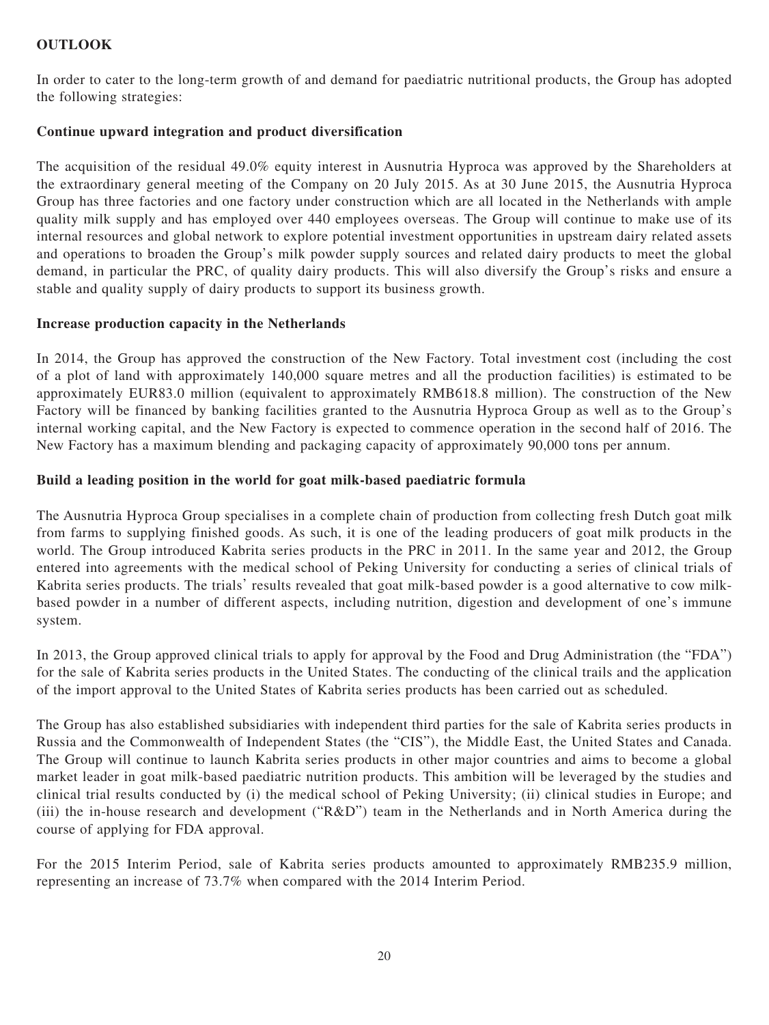# **OUTLOOK**

In order to cater to the long-term growth of and demand for paediatric nutritional products, the Group has adopted the following strategies:

# **Continue upward integration and product diversification**

The acquisition of the residual 49.0% equity interest in Ausnutria Hyproca was approved by the Shareholders at the extraordinary general meeting of the Company on 20 July 2015. As at 30 June 2015, the Ausnutria Hyproca Group has three factories and one factory under construction which are all located in the Netherlands with ample quality milk supply and has employed over 440 employees overseas. The Group will continue to make use of its internal resources and global network to explore potential investment opportunities in upstream dairy related assets and operations to broaden the Group's milk powder supply sources and related dairy products to meet the global demand, in particular the PRC, of quality dairy products. This will also diversify the Group's risks and ensure a stable and quality supply of dairy products to support its business growth.

# **Increase production capacity in the Netherlands**

In 2014, the Group has approved the construction of the New Factory. Total investment cost (including the cost of a plot of land with approximately 140,000 square metres and all the production facilities) is estimated to be approximately EUR83.0 million (equivalent to approximately RMB618.8 million). The construction of the New Factory will be financed by banking facilities granted to the Ausnutria Hyproca Group as well as to the Group's internal working capital, and the New Factory is expected to commence operation in the second half of 2016. The New Factory has a maximum blending and packaging capacity of approximately 90,000 tons per annum.

# **Build a leading position in the world for goat milk-based paediatric formula**

The Ausnutria Hyproca Group specialises in a complete chain of production from collecting fresh Dutch goat milk from farms to supplying finished goods. As such, it is one of the leading producers of goat milk products in the world. The Group introduced Kabrita series products in the PRC in 2011. In the same year and 2012, the Group entered into agreements with the medical school of Peking University for conducting a series of clinical trials of Kabrita series products. The trials' results revealed that goat milk-based powder is a good alternative to cow milkbased powder in a number of different aspects, including nutrition, digestion and development of one's immune system.

In 2013, the Group approved clinical trials to apply for approval by the Food and Drug Administration (the "FDA") for the sale of Kabrita series products in the United States. The conducting of the clinical trails and the application of the import approval to the United States of Kabrita series products has been carried out as scheduled.

The Group has also established subsidiaries with independent third parties for the sale of Kabrita series products in Russia and the Commonwealth of Independent States (the "CIS"), the Middle East, the United States and Canada. The Group will continue to launch Kabrita series products in other major countries and aims to become a global market leader in goat milk-based paediatric nutrition products. This ambition will be leveraged by the studies and clinical trial results conducted by (i) the medical school of Peking University; (ii) clinical studies in Europe; and (iii) the in-house research and development ("R&D") team in the Netherlands and in North America during the course of applying for FDA approval.

For the 2015 Interim Period, sale of Kabrita series products amounted to approximately RMB235.9 million, representing an increase of 73.7% when compared with the 2014 Interim Period.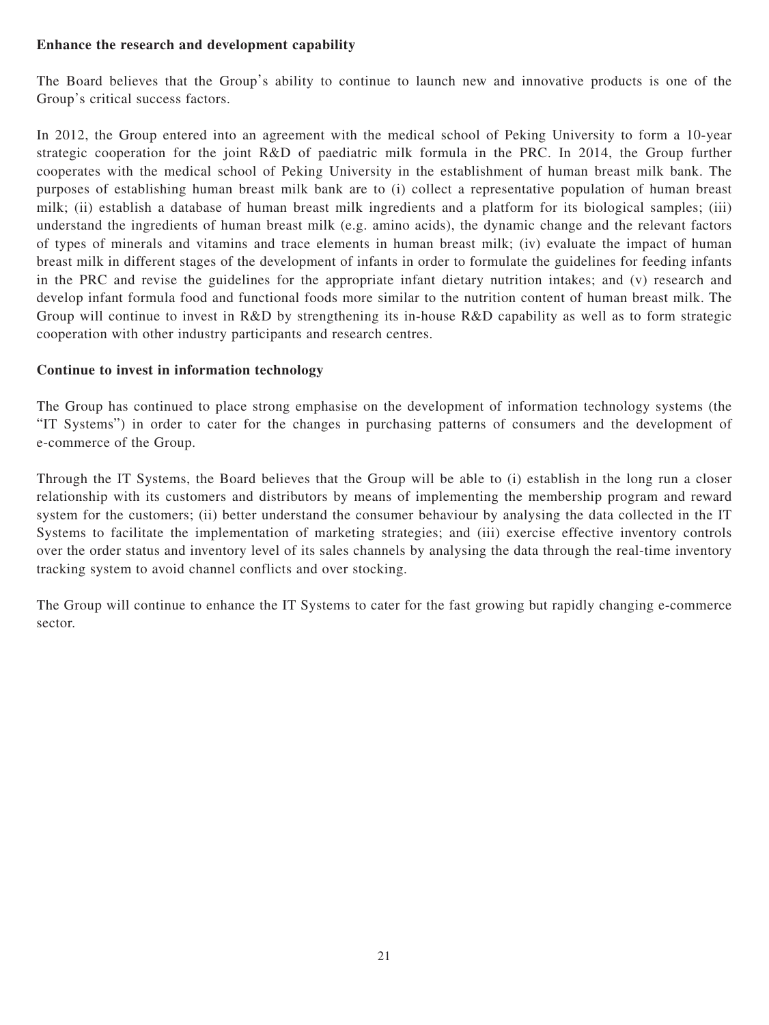# **Enhance the research and development capability**

The Board believes that the Group's ability to continue to launch new and innovative products is one of the Group's critical success factors.

In 2012, the Group entered into an agreement with the medical school of Peking University to form a 10-year strategic cooperation for the joint R&D of paediatric milk formula in the PRC. In 2014, the Group further cooperates with the medical school of Peking University in the establishment of human breast milk bank. The purposes of establishing human breast milk bank are to (i) collect a representative population of human breast milk; (ii) establish a database of human breast milk ingredients and a platform for its biological samples; (iii) understand the ingredients of human breast milk (e.g. amino acids), the dynamic change and the relevant factors of types of minerals and vitamins and trace elements in human breast milk; (iv) evaluate the impact of human breast milk in different stages of the development of infants in order to formulate the guidelines for feeding infants in the PRC and revise the guidelines for the appropriate infant dietary nutrition intakes; and (v) research and develop infant formula food and functional foods more similar to the nutrition content of human breast milk. The Group will continue to invest in R&D by strengthening its in-house R&D capability as well as to form strategic cooperation with other industry participants and research centres.

# **Continue to invest in information technology**

The Group has continued to place strong emphasise on the development of information technology systems (the "IT Systems") in order to cater for the changes in purchasing patterns of consumers and the development of e-commerce of the Group.

Through the IT Systems, the Board believes that the Group will be able to (i) establish in the long run a closer relationship with its customers and distributors by means of implementing the membership program and reward system for the customers; (ii) better understand the consumer behaviour by analysing the data collected in the IT Systems to facilitate the implementation of marketing strategies; and (iii) exercise effective inventory controls over the order status and inventory level of its sales channels by analysing the data through the real-time inventory tracking system to avoid channel conflicts and over stocking.

The Group will continue to enhance the IT Systems to cater for the fast growing but rapidly changing e-commerce sector.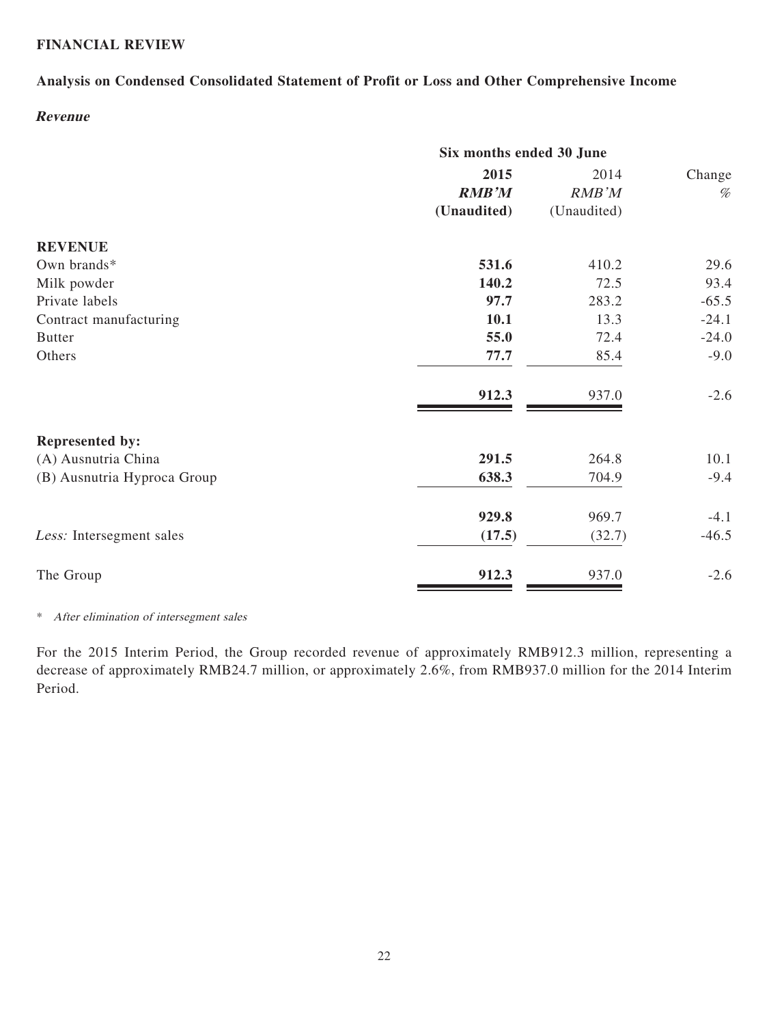# **FINANCIAL REVIEW**

# **Analysis on Condensed Consolidated Statement of Profit or Loss and Other Comprehensive Income**

# **Revenue**

|                             | Six months ended 30 June |             |         |  |
|-----------------------------|--------------------------|-------------|---------|--|
|                             | 2015                     | 2014        | Change  |  |
|                             | <b>RMB'M</b>             | RMB'M       | %       |  |
|                             | (Unaudited)              | (Unaudited) |         |  |
| <b>REVENUE</b>              |                          |             |         |  |
| Own brands*                 | 531.6                    | 410.2       | 29.6    |  |
| Milk powder                 | 140.2                    | 72.5        | 93.4    |  |
| Private labels              | 97.7                     | 283.2       | $-65.5$ |  |
| Contract manufacturing      | 10.1                     | 13.3        | $-24.1$ |  |
| <b>Butter</b>               | 55.0                     | 72.4        | $-24.0$ |  |
| Others                      | 77.7                     | 85.4        | $-9.0$  |  |
|                             | 912.3                    | 937.0       | $-2.6$  |  |
| Represented by:             |                          |             |         |  |
| (A) Ausnutria China         | 291.5                    | 264.8       | 10.1    |  |
| (B) Ausnutria Hyproca Group | 638.3                    | 704.9       | $-9.4$  |  |
|                             | 929.8                    | 969.7       | $-4.1$  |  |
| Less: Intersegment sales    | (17.5)                   | (32.7)      | $-46.5$ |  |
| The Group                   | 912.3                    | 937.0       | $-2.6$  |  |

\* After elimination of intersegment sales

For the 2015 Interim Period, the Group recorded revenue of approximately RMB912.3 million, representing a decrease of approximately RMB24.7 million, or approximately 2.6%, from RMB937.0 million for the 2014 Interim Period.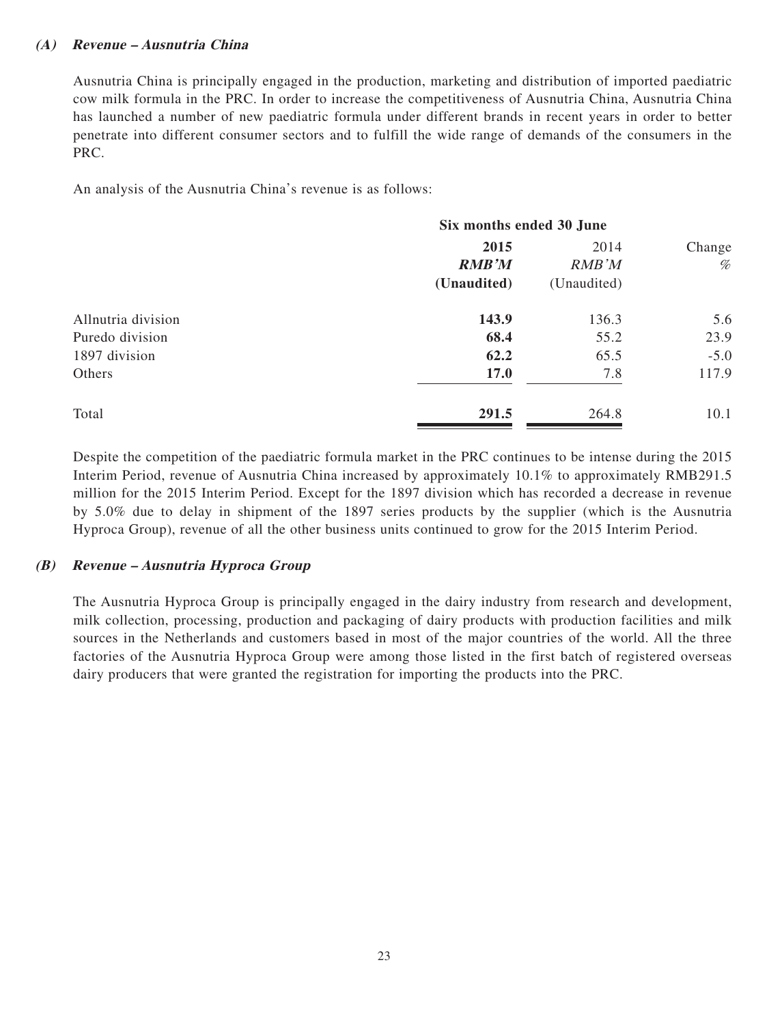# **(A) Revenue – Ausnutria China**

Ausnutria China is principally engaged in the production, marketing and distribution of imported paediatric cow milk formula in the PRC. In order to increase the competitiveness of Ausnutria China, Ausnutria China has launched a number of new paediatric formula under different brands in recent years in order to better penetrate into different consumer sectors and to fulfill the wide range of demands of the consumers in the PRC.

An analysis of the Ausnutria China's revenue is as follows:

|                    | Six months ended 30 June |             |        |  |
|--------------------|--------------------------|-------------|--------|--|
|                    | 2015                     | 2014        | Change |  |
|                    | <b>RMB'M</b>             | RMB'M       | %      |  |
|                    | (Unaudited)              | (Unaudited) |        |  |
| Allnutria division | 143.9                    | 136.3       | 5.6    |  |
| Puredo division    | 68.4                     | 55.2        | 23.9   |  |
| 1897 division      | 62.2                     | 65.5        | $-5.0$ |  |
| Others             | <b>17.0</b>              | 7.8         | 117.9  |  |
| Total              | 291.5                    | 264.8       | 10.1   |  |

Despite the competition of the paediatric formula market in the PRC continues to be intense during the 2015 Interim Period, revenue of Ausnutria China increased by approximately 10.1% to approximately RMB291.5 million for the 2015 Interim Period. Except for the 1897 division which has recorded a decrease in revenue by 5.0% due to delay in shipment of the 1897 series products by the supplier (which is the Ausnutria Hyproca Group), revenue of all the other business units continued to grow for the 2015 Interim Period.

## **(B) Revenue – Ausnutria Hyproca Group**

The Ausnutria Hyproca Group is principally engaged in the dairy industry from research and development, milk collection, processing, production and packaging of dairy products with production facilities and milk sources in the Netherlands and customers based in most of the major countries of the world. All the three factories of the Ausnutria Hyproca Group were among those listed in the first batch of registered overseas dairy producers that were granted the registration for importing the products into the PRC.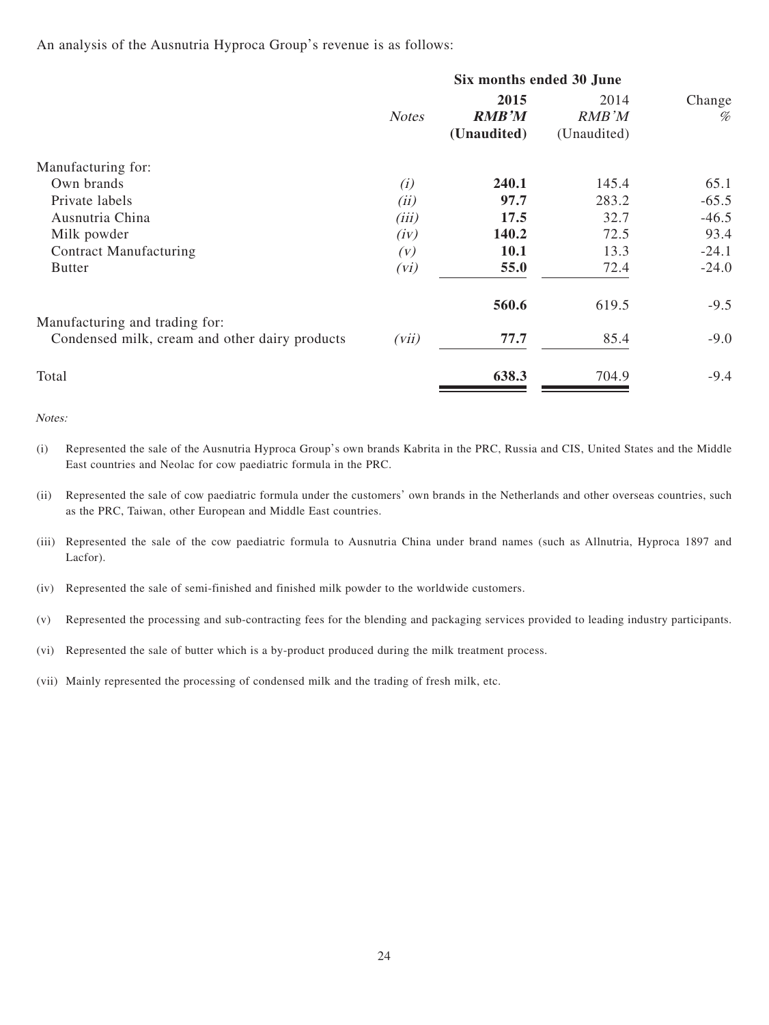An analysis of the Ausnutria Hyproca Group's revenue is as follows:

|                                                                                  | Six months ended 30 June |                                     |                              |             |
|----------------------------------------------------------------------------------|--------------------------|-------------------------------------|------------------------------|-------------|
|                                                                                  | <b>Notes</b>             | 2015<br><b>RMB'M</b><br>(Unaudited) | 2014<br>RMB'M<br>(Unaudited) | Change<br>% |
| Manufacturing for:                                                               |                          |                                     |                              |             |
| Own brands                                                                       | (i)                      | 240.1                               | 145.4                        | 65.1        |
| Private labels                                                                   | (ii)                     | 97.7                                | 283.2                        | $-65.5$     |
| Ausnutria China                                                                  | (iii)                    | 17.5                                | 32.7                         | $-46.5$     |
| Milk powder                                                                      | (iv)                     | 140.2                               | 72.5                         | 93.4        |
| <b>Contract Manufacturing</b>                                                    | (V)                      | <b>10.1</b>                         | 13.3                         | $-24.1$     |
| <b>Butter</b>                                                                    | (vi)                     | 55.0                                | 72.4                         | $-24.0$     |
|                                                                                  |                          | 560.6                               | 619.5                        | $-9.5$      |
| Manufacturing and trading for:<br>Condensed milk, cream and other dairy products | (vii)                    | 77.7                                | 85.4                         | $-9.0$      |
| Total                                                                            |                          | 638.3                               | 704.9                        | $-9.4$      |

Notes:

(i) Represented the sale of the Ausnutria Hyproca Group's own brands Kabrita in the PRC, Russia and CIS, United States and the Middle East countries and Neolac for cow paediatric formula in the PRC.

(ii) Represented the sale of cow paediatric formula under the customers' own brands in the Netherlands and other overseas countries, such as the PRC, Taiwan, other European and Middle East countries.

(iii) Represented the sale of the cow paediatric formula to Ausnutria China under brand names (such as Allnutria, Hyproca 1897 and Lacfor).

(iv) Represented the sale of semi-finished and finished milk powder to the worldwide customers.

(v) Represented the processing and sub-contracting fees for the blending and packaging services provided to leading industry participants.

(vi) Represented the sale of butter which is a by-product produced during the milk treatment process.

(vii) Mainly represented the processing of condensed milk and the trading of fresh milk, etc.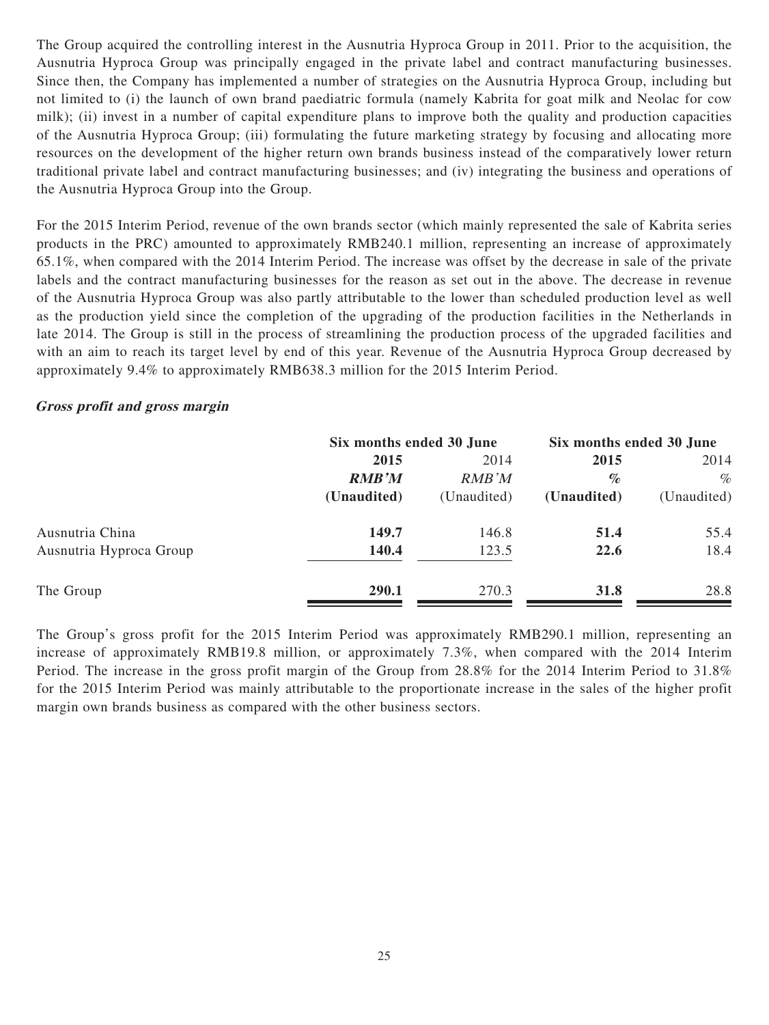The Group acquired the controlling interest in the Ausnutria Hyproca Group in 2011. Prior to the acquisition, the Ausnutria Hyproca Group was principally engaged in the private label and contract manufacturing businesses. Since then, the Company has implemented a number of strategies on the Ausnutria Hyproca Group, including but not limited to (i) the launch of own brand paediatric formula (namely Kabrita for goat milk and Neolac for cow milk); (ii) invest in a number of capital expenditure plans to improve both the quality and production capacities of the Ausnutria Hyproca Group; (iii) formulating the future marketing strategy by focusing and allocating more resources on the development of the higher return own brands business instead of the comparatively lower return traditional private label and contract manufacturing businesses; and (iv) integrating the business and operations of the Ausnutria Hyproca Group into the Group.

For the 2015 Interim Period, revenue of the own brands sector (which mainly represented the sale of Kabrita series products in the PRC) amounted to approximately RMB240.1 million, representing an increase of approximately 65.1%, when compared with the 2014 Interim Period. The increase was offset by the decrease in sale of the private labels and the contract manufacturing businesses for the reason as set out in the above. The decrease in revenue of the Ausnutria Hyproca Group was also partly attributable to the lower than scheduled production level as well as the production yield since the completion of the upgrading of the production facilities in the Netherlands in late 2014. The Group is still in the process of streamlining the production process of the upgraded facilities and with an aim to reach its target level by end of this year. Revenue of the Ausnutria Hyproca Group decreased by approximately 9.4% to approximately RMB638.3 million for the 2015 Interim Period.

## **Gross profit and gross margin**

|                         |              | Six months ended 30 June |             | Six months ended 30 June |
|-------------------------|--------------|--------------------------|-------------|--------------------------|
|                         | 2015         | 2014                     |             | 2014                     |
|                         | <b>RMB'M</b> | RMB'M                    | $\%$        | $\%$                     |
|                         | (Unaudited)  | (Unaudited)              | (Unaudited) | (Unaudited)              |
| Ausnutria China         | 149.7        | 146.8                    | 51.4        | 55.4                     |
| Ausnutria Hyproca Group | 140.4        | 123.5                    | 22.6        | 18.4                     |
| The Group               | 290.1        | 270.3                    | <b>31.8</b> | 28.8                     |

The Group's gross profit for the 2015 Interim Period was approximately RMB290.1 million, representing an increase of approximately RMB19.8 million, or approximately 7.3%, when compared with the 2014 Interim Period. The increase in the gross profit margin of the Group from 28.8% for the 2014 Interim Period to 31.8% for the 2015 Interim Period was mainly attributable to the proportionate increase in the sales of the higher profit margin own brands business as compared with the other business sectors.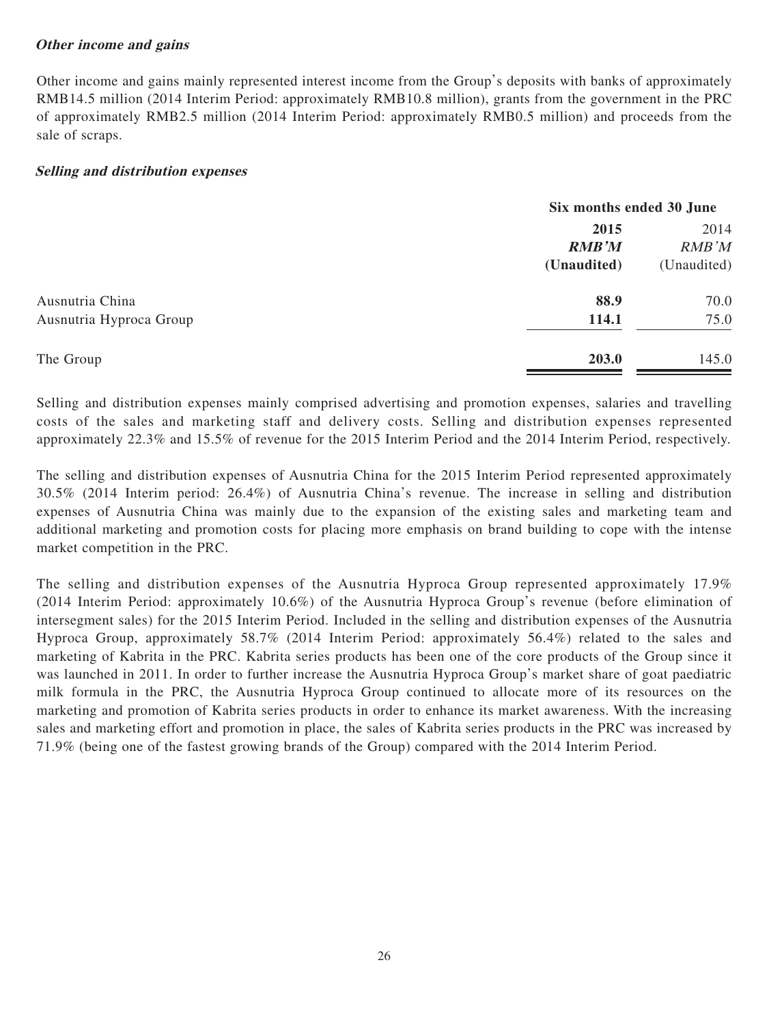# **Other income and gains**

Other income and gains mainly represented interest income from the Group's deposits with banks of approximately RMB14.5 million (2014 Interim Period: approximately RMB10.8 million), grants from the government in the PRC of approximately RMB2.5 million (2014 Interim Period: approximately RMB0.5 million) and proceeds from the sale of scraps.

## **Selling and distribution expenses**

|                         | Six months ended 30 June |             |  |
|-------------------------|--------------------------|-------------|--|
|                         | 2015                     | 2014        |  |
|                         | <b>RMB'M</b>             | RMB'M       |  |
|                         | (Unaudited)              | (Unaudited) |  |
| Ausnutria China         | 88.9                     | 70.0        |  |
| Ausnutria Hyproca Group | 114.1                    | 75.0        |  |
| The Group               | 203.0                    | 145.0       |  |

Selling and distribution expenses mainly comprised advertising and promotion expenses, salaries and travelling costs of the sales and marketing staff and delivery costs. Selling and distribution expenses represented approximately 22.3% and 15.5% of revenue for the 2015 Interim Period and the 2014 Interim Period, respectively.

The selling and distribution expenses of Ausnutria China for the 2015 Interim Period represented approximately 30.5% (2014 Interim period: 26.4%) of Ausnutria China's revenue. The increase in selling and distribution expenses of Ausnutria China was mainly due to the expansion of the existing sales and marketing team and additional marketing and promotion costs for placing more emphasis on brand building to cope with the intense market competition in the PRC.

The selling and distribution expenses of the Ausnutria Hyproca Group represented approximately 17.9% (2014 Interim Period: approximately 10.6%) of the Ausnutria Hyproca Group's revenue (before elimination of intersegment sales) for the 2015 Interim Period. Included in the selling and distribution expenses of the Ausnutria Hyproca Group, approximately 58.7% (2014 Interim Period: approximately 56.4%) related to the sales and marketing of Kabrita in the PRC. Kabrita series products has been one of the core products of the Group since it was launched in 2011. In order to further increase the Ausnutria Hyproca Group's market share of goat paediatric milk formula in the PRC, the Ausnutria Hyproca Group continued to allocate more of its resources on the marketing and promotion of Kabrita series products in order to enhance its market awareness. With the increasing sales and marketing effort and promotion in place, the sales of Kabrita series products in the PRC was increased by 71.9% (being one of the fastest growing brands of the Group) compared with the 2014 Interim Period.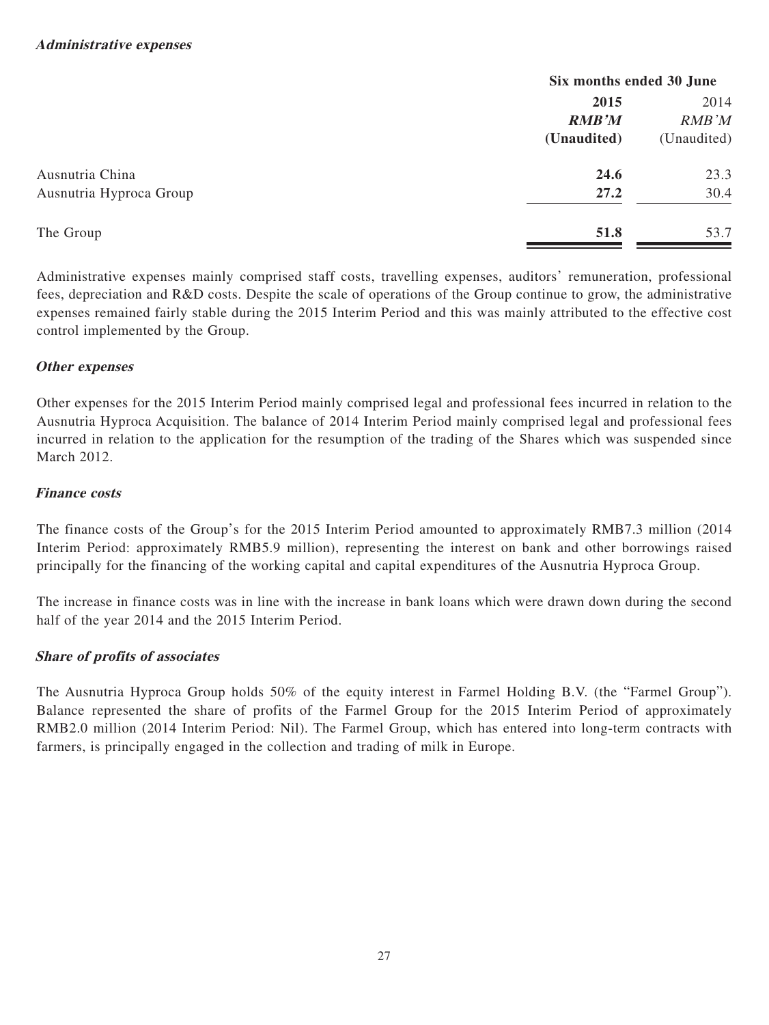|                         | Six months ended 30 June |             |  |
|-------------------------|--------------------------|-------------|--|
|                         | 2015                     | 2014        |  |
|                         | <b>RMB'M</b>             | RMB'M       |  |
|                         | (Unaudited)              | (Unaudited) |  |
| Ausnutria China         | 24.6                     | 23.3        |  |
| Ausnutria Hyproca Group | 27.2                     | 30.4        |  |
| The Group               | 51.8                     | 53.7        |  |

Administrative expenses mainly comprised staff costs, travelling expenses, auditors' remuneration, professional fees, depreciation and R&D costs. Despite the scale of operations of the Group continue to grow, the administrative expenses remained fairly stable during the 2015 Interim Period and this was mainly attributed to the effective cost control implemented by the Group.

# **Other expenses**

Other expenses for the 2015 Interim Period mainly comprised legal and professional fees incurred in relation to the Ausnutria Hyproca Acquisition. The balance of 2014 Interim Period mainly comprised legal and professional fees incurred in relation to the application for the resumption of the trading of the Shares which was suspended since March 2012.

# **Finance costs**

The finance costs of the Group's for the 2015 Interim Period amounted to approximately RMB7.3 million (2014 Interim Period: approximately RMB5.9 million), representing the interest on bank and other borrowings raised principally for the financing of the working capital and capital expenditures of the Ausnutria Hyproca Group.

The increase in finance costs was in line with the increase in bank loans which were drawn down during the second half of the year 2014 and the 2015 Interim Period.

# **Share of profits of associates**

The Ausnutria Hyproca Group holds 50% of the equity interest in Farmel Holding B.V. (the "Farmel Group"). Balance represented the share of profits of the Farmel Group for the 2015 Interim Period of approximately RMB2.0 million (2014 Interim Period: Nil). The Farmel Group, which has entered into long-term contracts with farmers, is principally engaged in the collection and trading of milk in Europe.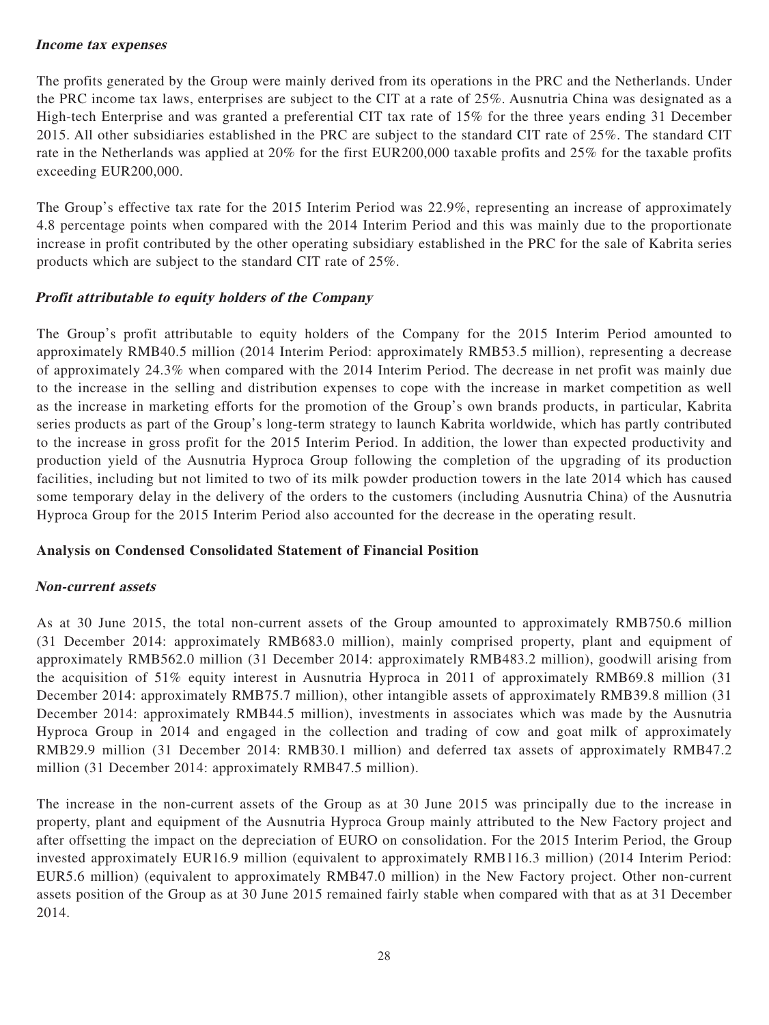# **Income tax expenses**

The profits generated by the Group were mainly derived from its operations in the PRC and the Netherlands. Under the PRC income tax laws, enterprises are subject to the CIT at a rate of 25%. Ausnutria China was designated as a High-tech Enterprise and was granted a preferential CIT tax rate of 15% for the three years ending 31 December 2015. All other subsidiaries established in the PRC are subject to the standard CIT rate of 25%. The standard CIT rate in the Netherlands was applied at 20% for the first EUR200,000 taxable profits and 25% for the taxable profits exceeding EUR200,000.

The Group's effective tax rate for the 2015 Interim Period was 22.9%, representing an increase of approximately 4.8 percentage points when compared with the 2014 Interim Period and this was mainly due to the proportionate increase in profit contributed by the other operating subsidiary established in the PRC for the sale of Kabrita series products which are subject to the standard CIT rate of 25%.

# **Profit attributable to equity holders of the Company**

The Group's profit attributable to equity holders of the Company for the 2015 Interim Period amounted to approximately RMB40.5 million (2014 Interim Period: approximately RMB53.5 million), representing a decrease of approximately 24.3% when compared with the 2014 Interim Period. The decrease in net profit was mainly due to the increase in the selling and distribution expenses to cope with the increase in market competition as well as the increase in marketing efforts for the promotion of the Group's own brands products, in particular, Kabrita series products as part of the Group's long-term strategy to launch Kabrita worldwide, which has partly contributed to the increase in gross profit for the 2015 Interim Period. In addition, the lower than expected productivity and production yield of the Ausnutria Hyproca Group following the completion of the upgrading of its production facilities, including but not limited to two of its milk powder production towers in the late 2014 which has caused some temporary delay in the delivery of the orders to the customers (including Ausnutria China) of the Ausnutria Hyproca Group for the 2015 Interim Period also accounted for the decrease in the operating result.

## **Analysis on Condensed Consolidated Statement of Financial Position**

## **Non-current assets**

As at 30 June 2015, the total non-current assets of the Group amounted to approximately RMB750.6 million (31 December 2014: approximately RMB683.0 million), mainly comprised property, plant and equipment of approximately RMB562.0 million (31 December 2014: approximately RMB483.2 million), goodwill arising from the acquisition of 51% equity interest in Ausnutria Hyproca in 2011 of approximately RMB69.8 million (31 December 2014: approximately RMB75.7 million), other intangible assets of approximately RMB39.8 million (31 December 2014: approximately RMB44.5 million), investments in associates which was made by the Ausnutria Hyproca Group in 2014 and engaged in the collection and trading of cow and goat milk of approximately RMB29.9 million (31 December 2014: RMB30.1 million) and deferred tax assets of approximately RMB47.2 million (31 December 2014: approximately RMB47.5 million).

The increase in the non-current assets of the Group as at 30 June 2015 was principally due to the increase in property, plant and equipment of the Ausnutria Hyproca Group mainly attributed to the New Factory project and after offsetting the impact on the depreciation of EURO on consolidation. For the 2015 Interim Period, the Group invested approximately EUR16.9 million (equivalent to approximately RMB116.3 million) (2014 Interim Period: EUR5.6 million) (equivalent to approximately RMB47.0 million) in the New Factory project. Other non-current assets position of the Group as at 30 June 2015 remained fairly stable when compared with that as at 31 December 2014.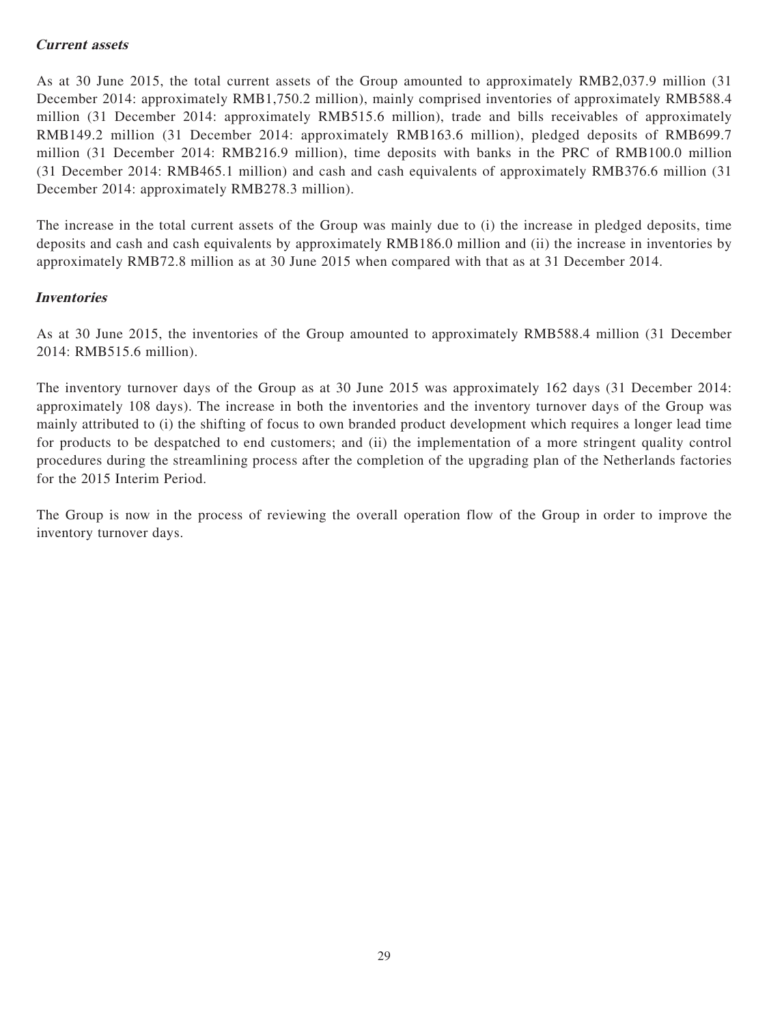# **Current assets**

As at 30 June 2015, the total current assets of the Group amounted to approximately RMB2,037.9 million (31 December 2014: approximately RMB1,750.2 million), mainly comprised inventories of approximately RMB588.4 million (31 December 2014: approximately RMB515.6 million), trade and bills receivables of approximately RMB149.2 million (31 December 2014: approximately RMB163.6 million), pledged deposits of RMB699.7 million (31 December 2014: RMB216.9 million), time deposits with banks in the PRC of RMB100.0 million (31 December 2014: RMB465.1 million) and cash and cash equivalents of approximately RMB376.6 million (31 December 2014: approximately RMB278.3 million).

The increase in the total current assets of the Group was mainly due to (i) the increase in pledged deposits, time deposits and cash and cash equivalents by approximately RMB186.0 million and (ii) the increase in inventories by approximately RMB72.8 million as at 30 June 2015 when compared with that as at 31 December 2014.

## **Inventories**

As at 30 June 2015, the inventories of the Group amounted to approximately RMB588.4 million (31 December 2014: RMB515.6 million).

The inventory turnover days of the Group as at 30 June 2015 was approximately 162 days (31 December 2014: approximately 108 days). The increase in both the inventories and the inventory turnover days of the Group was mainly attributed to (i) the shifting of focus to own branded product development which requires a longer lead time for products to be despatched to end customers; and (ii) the implementation of a more stringent quality control procedures during the streamlining process after the completion of the upgrading plan of the Netherlands factories for the 2015 Interim Period.

The Group is now in the process of reviewing the overall operation flow of the Group in order to improve the inventory turnover days.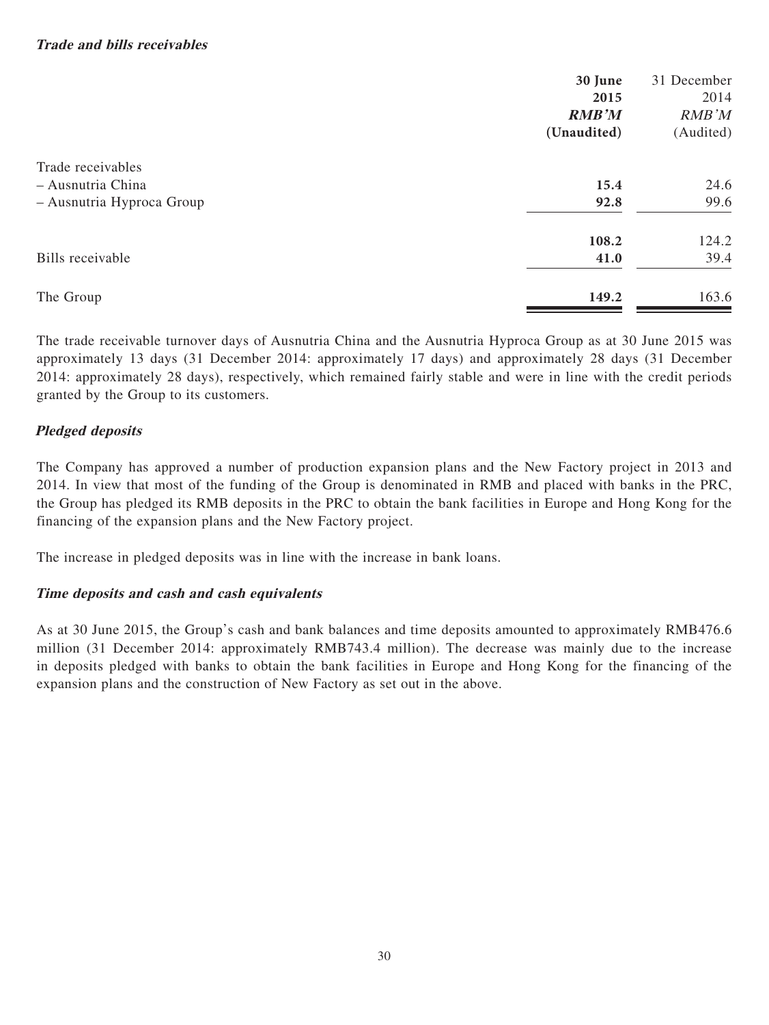|                           | 30 June      | 31 December |
|---------------------------|--------------|-------------|
|                           | 2015         | 2014        |
|                           | <b>RMB'M</b> | RMB'M       |
|                           | (Unaudited)  | (Audited)   |
| Trade receivables         |              |             |
| - Ausnutria China         | 15.4         | 24.6        |
| - Ausnutria Hyproca Group | 92.8         | 99.6        |
|                           | 108.2        | 124.2       |
| Bills receivable          | 41.0         | 39.4        |
| The Group                 | 149.2        | 163.6       |
|                           |              |             |

The trade receivable turnover days of Ausnutria China and the Ausnutria Hyproca Group as at 30 June 2015 was approximately 13 days (31 December 2014: approximately 17 days) and approximately 28 days (31 December 2014: approximately 28 days), respectively, which remained fairly stable and were in line with the credit periods granted by the Group to its customers.

# **Pledged deposits**

The Company has approved a number of production expansion plans and the New Factory project in 2013 and 2014. In view that most of the funding of the Group is denominated in RMB and placed with banks in the PRC, the Group has pledged its RMB deposits in the PRC to obtain the bank facilities in Europe and Hong Kong for the financing of the expansion plans and the New Factory project.

The increase in pledged deposits was in line with the increase in bank loans.

# **Time deposits and cash and cash equivalents**

As at 30 June 2015, the Group's cash and bank balances and time deposits amounted to approximately RMB476.6 million (31 December 2014: approximately RMB743.4 million). The decrease was mainly due to the increase in deposits pledged with banks to obtain the bank facilities in Europe and Hong Kong for the financing of the expansion plans and the construction of New Factory as set out in the above.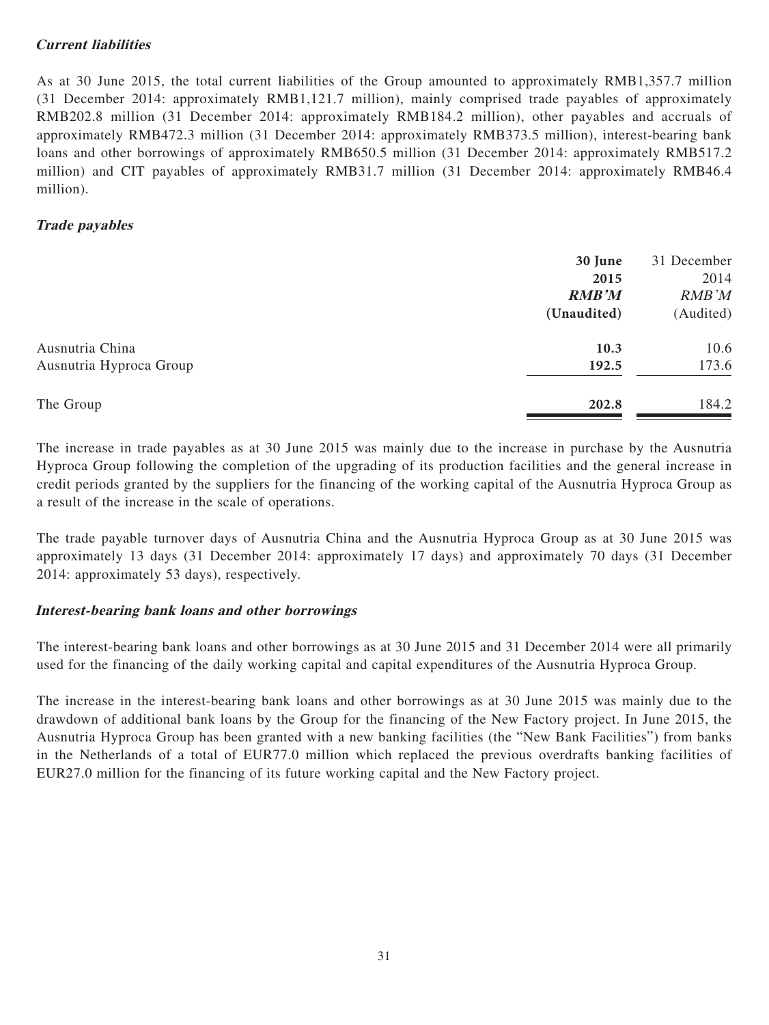# **Current liabilities**

As at 30 June 2015, the total current liabilities of the Group amounted to approximately RMB1,357.7 million (31 December 2014: approximately RMB1,121.7 million), mainly comprised trade payables of approximately RMB202.8 million (31 December 2014: approximately RMB184.2 million), other payables and accruals of approximately RMB472.3 million (31 December 2014: approximately RMB373.5 million), interest-bearing bank loans and other borrowings of approximately RMB650.5 million (31 December 2014: approximately RMB517.2 million) and CIT payables of approximately RMB31.7 million (31 December 2014: approximately RMB46.4 million).

# **Trade payables**

|                         | 30 June      | 31 December |
|-------------------------|--------------|-------------|
|                         | 2015         | 2014        |
|                         | <b>RMB'M</b> | RMB'M       |
|                         | (Unaudited)  | (Audited)   |
| Ausnutria China         | 10.3         | 10.6        |
| Ausnutria Hyproca Group | 192.5        | 173.6       |
| The Group               | 202.8        | 184.2       |

The increase in trade payables as at 30 June 2015 was mainly due to the increase in purchase by the Ausnutria Hyproca Group following the completion of the upgrading of its production facilities and the general increase in credit periods granted by the suppliers for the financing of the working capital of the Ausnutria Hyproca Group as a result of the increase in the scale of operations.

The trade payable turnover days of Ausnutria China and the Ausnutria Hyproca Group as at 30 June 2015 was approximately 13 days (31 December 2014: approximately 17 days) and approximately 70 days (31 December 2014: approximately 53 days), respectively.

# **Interest-bearing bank loans and other borrowings**

The interest-bearing bank loans and other borrowings as at 30 June 2015 and 31 December 2014 were all primarily used for the financing of the daily working capital and capital expenditures of the Ausnutria Hyproca Group.

The increase in the interest-bearing bank loans and other borrowings as at 30 June 2015 was mainly due to the drawdown of additional bank loans by the Group for the financing of the New Factory project. In June 2015, the Ausnutria Hyproca Group has been granted with a new banking facilities (the "New Bank Facilities") from banks in the Netherlands of a total of EUR77.0 million which replaced the previous overdrafts banking facilities of EUR27.0 million for the financing of its future working capital and the New Factory project.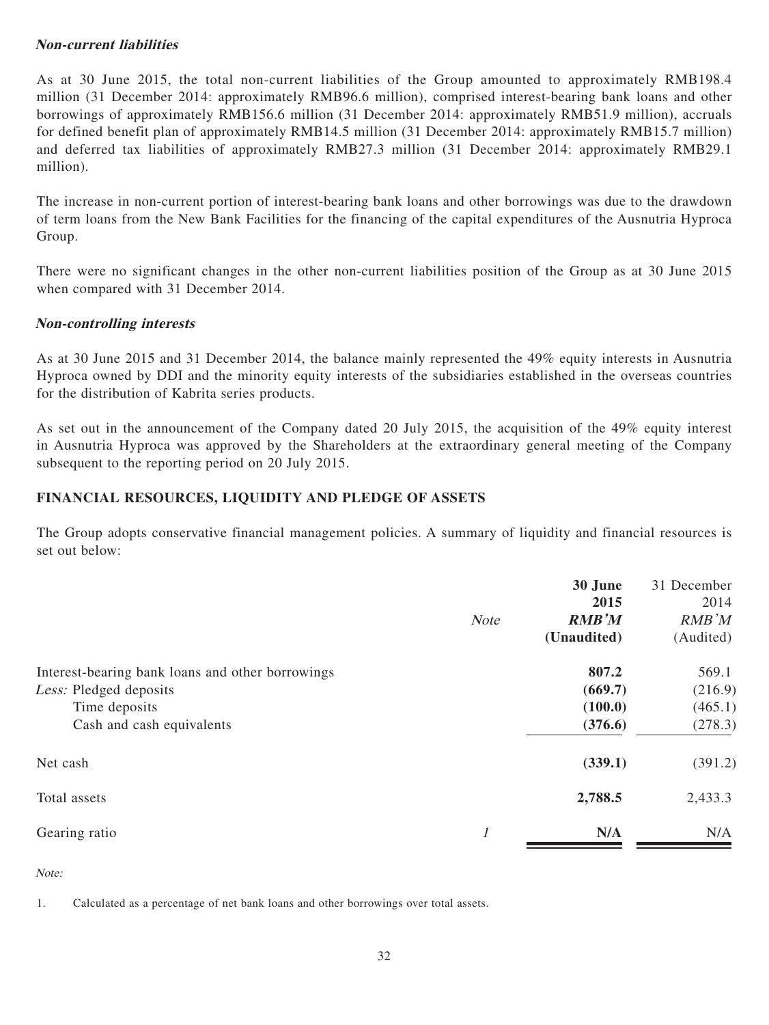# **Non-current liabilities**

As at 30 June 2015, the total non-current liabilities of the Group amounted to approximately RMB198.4 million (31 December 2014: approximately RMB96.6 million), comprised interest-bearing bank loans and other borrowings of approximately RMB156.6 million (31 December 2014: approximately RMB51.9 million), accruals for defined benefit plan of approximately RMB14.5 million (31 December 2014: approximately RMB15.7 million) and deferred tax liabilities of approximately RMB27.3 million (31 December 2014: approximately RMB29.1 million).

The increase in non-current portion of interest-bearing bank loans and other borrowings was due to the drawdown of term loans from the New Bank Facilities for the financing of the capital expenditures of the Ausnutria Hyproca Group.

There were no significant changes in the other non-current liabilities position of the Group as at 30 June 2015 when compared with 31 December 2014.

## **Non-controlling interests**

As at 30 June 2015 and 31 December 2014, the balance mainly represented the 49% equity interests in Ausnutria Hyproca owned by DDI and the minority equity interests of the subsidiaries established in the overseas countries for the distribution of Kabrita series products.

As set out in the announcement of the Company dated 20 July 2015, the acquisition of the 49% equity interest in Ausnutria Hyproca was approved by the Shareholders at the extraordinary general meeting of the Company subsequent to the reporting period on 20 July 2015.

## **FINANCIAL RESOURCES, LIQUIDITY AND PLEDGE OF ASSETS**

The Group adopts conservative financial management policies. A summary of liquidity and financial resources is set out below:

|                                                  | <b>Note</b> | 30 June<br>2015<br><b>RMB'M</b><br>(Unaudited) | 31 December<br>2014<br><b>RMB</b> 'M<br>(Audited) |
|--------------------------------------------------|-------------|------------------------------------------------|---------------------------------------------------|
| Interest-bearing bank loans and other borrowings |             | 807.2                                          | 569.1                                             |
| Less: Pledged deposits                           |             | (669.7)                                        | (216.9)                                           |
| Time deposits                                    |             | (100.0)                                        | (465.1)                                           |
| Cash and cash equivalents                        |             | (376.6)                                        | (278.3)                                           |
| Net cash                                         |             | (339.1)                                        | (391.2)                                           |
| Total assets                                     |             | 2,788.5                                        | 2,433.3                                           |
| Gearing ratio                                    | 1           | N/A                                            | N/A                                               |

Note:

1. Calculated as a percentage of net bank loans and other borrowings over total assets.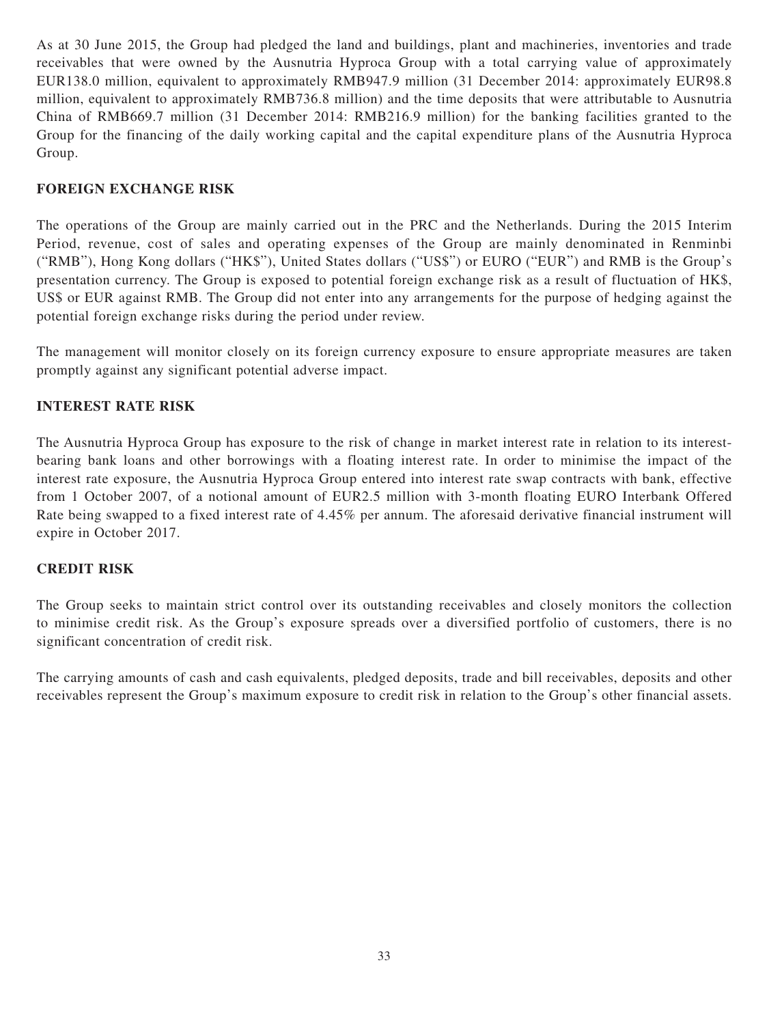As at 30 June 2015, the Group had pledged the land and buildings, plant and machineries, inventories and trade receivables that were owned by the Ausnutria Hyproca Group with a total carrying value of approximately EUR138.0 million, equivalent to approximately RMB947.9 million (31 December 2014: approximately EUR98.8 million, equivalent to approximately RMB736.8 million) and the time deposits that were attributable to Ausnutria China of RMB669.7 million (31 December 2014: RMB216.9 million) for the banking facilities granted to the Group for the financing of the daily working capital and the capital expenditure plans of the Ausnutria Hyproca Group.

# **FOREIGN EXCHANGE RISK**

The operations of the Group are mainly carried out in the PRC and the Netherlands. During the 2015 Interim Period, revenue, cost of sales and operating expenses of the Group are mainly denominated in Renminbi ("RMB"), Hong Kong dollars ("HK\$"), United States dollars ("US\$") or EURO ("EUR") and RMB is the Group's presentation currency. The Group is exposed to potential foreign exchange risk as a result of fluctuation of HK\$, US\$ or EUR against RMB. The Group did not enter into any arrangements for the purpose of hedging against the potential foreign exchange risks during the period under review.

The management will monitor closely on its foreign currency exposure to ensure appropriate measures are taken promptly against any significant potential adverse impact.

# **INTEREST RATE RISK**

The Ausnutria Hyproca Group has exposure to the risk of change in market interest rate in relation to its interestbearing bank loans and other borrowings with a floating interest rate. In order to minimise the impact of the interest rate exposure, the Ausnutria Hyproca Group entered into interest rate swap contracts with bank, effective from 1 October 2007, of a notional amount of EUR2.5 million with 3-month floating EURO Interbank Offered Rate being swapped to a fixed interest rate of 4.45% per annum. The aforesaid derivative financial instrument will expire in October 2017.

## **CREDIT RISK**

The Group seeks to maintain strict control over its outstanding receivables and closely monitors the collection to minimise credit risk. As the Group's exposure spreads over a diversified portfolio of customers, there is no significant concentration of credit risk.

The carrying amounts of cash and cash equivalents, pledged deposits, trade and bill receivables, deposits and other receivables represent the Group's maximum exposure to credit risk in relation to the Group's other financial assets.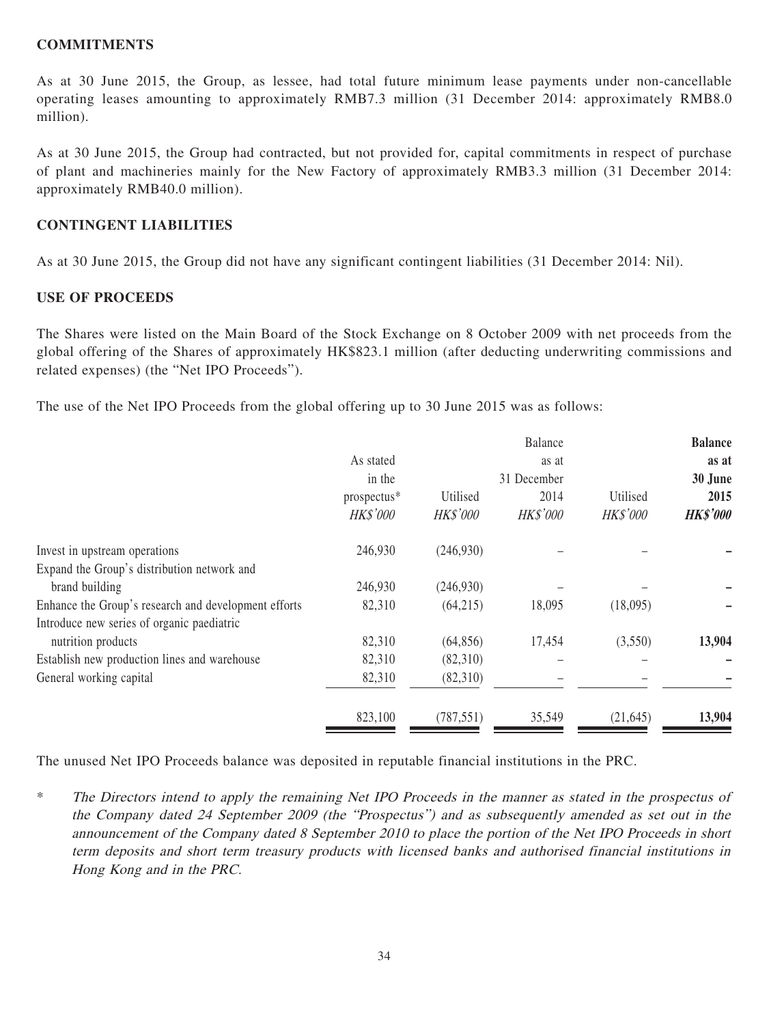## **COMMITMENTS**

As at 30 June 2015, the Group, as lessee, had total future minimum lease payments under non-cancellable operating leases amounting to approximately RMB7.3 million (31 December 2014: approximately RMB8.0 million).

As at 30 June 2015, the Group had contracted, but not provided for, capital commitments in respect of purchase of plant and machineries mainly for the New Factory of approximately RMB3.3 million (31 December 2014: approximately RMB40.0 million).

# **CONTINGENT LIABILITIES**

As at 30 June 2015, the Group did not have any significant contingent liabilities (31 December 2014: Nil).

## **USE OF PROCEEDS**

The Shares were listed on the Main Board of the Stock Exchange on 8 October 2009 with net proceeds from the global offering of the Shares of approximately HK\$823.1 million (after deducting underwriting commissions and related expenses) (the "Net IPO Proceeds").

The use of the Net IPO Proceeds from the global offering up to 30 June 2015 was as follows:

|             |            | Balance     |           | <b>Balance</b>  |
|-------------|------------|-------------|-----------|-----------------|
| As stated   |            | as at       |           | as at           |
| in the      |            | 31 December |           | 30 June         |
| prospectus* | Utilised   | 2014        | Utilised  | 2015            |
| HK\$'000    | HK\$'000   | HK\$'000    | HK\$'000  | <b>HK\$'000</b> |
| 246,930     | (246,930)  |             |           |                 |
|             |            |             |           |                 |
| 246,930     | (246,930)  |             |           |                 |
| 82,310      | (64,215)   | 18,095      | (18,095)  |                 |
|             |            |             |           |                 |
| 82,310      | (64, 856)  | 17,454      | (3,550)   | 13,904          |
| 82,310      | (82,310)   |             |           |                 |
| 82,310      | (82,310)   |             |           |                 |
| 823,100     | (787, 551) | 35,549      | (21, 645) | 13,904          |
|             |            |             |           |                 |

The unused Net IPO Proceeds balance was deposited in reputable financial institutions in the PRC.

\* The Directors intend to apply the remaining Net IPO Proceeds in the manner as stated in the prospectus of the Company dated 24 September 2009 (the "Prospectus") and as subsequently amended as set out in the announcement of the Company dated 8 September 2010 to place the portion of the Net IPO Proceeds in short term deposits and short term treasury products with licensed banks and authorised financial institutions in Hong Kong and in the PRC.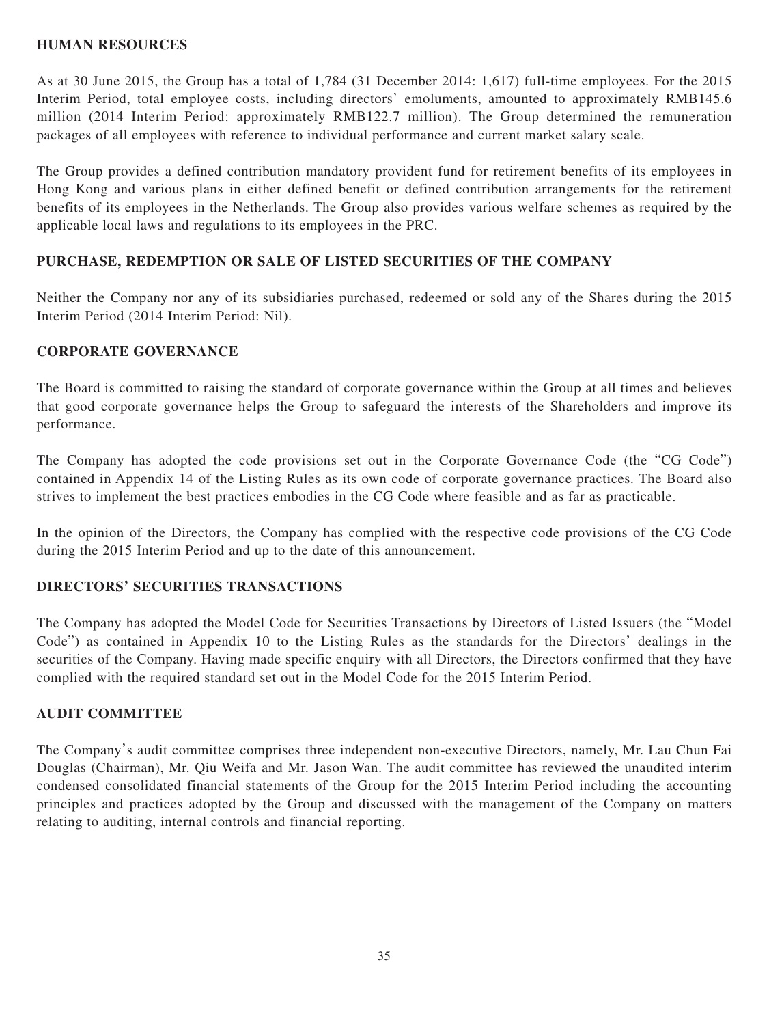## **HUMAN RESOURCES**

As at 30 June 2015, the Group has a total of 1,784 (31 December 2014: 1,617) full-time employees. For the 2015 Interim Period, total employee costs, including directors' emoluments, amounted to approximately RMB145.6 million (2014 Interim Period: approximately RMB122.7 million). The Group determined the remuneration packages of all employees with reference to individual performance and current market salary scale.

The Group provides a defined contribution mandatory provident fund for retirement benefits of its employees in Hong Kong and various plans in either defined benefit or defined contribution arrangements for the retirement benefits of its employees in the Netherlands. The Group also provides various welfare schemes as required by the applicable local laws and regulations to its employees in the PRC.

# **PURCHASE, REDEMPTION OR SALE OF LISTED SECURITIES OF THE COMPANY**

Neither the Company nor any of its subsidiaries purchased, redeemed or sold any of the Shares during the 2015 Interim Period (2014 Interim Period: Nil).

# **CORPORATE GOVERNANCE**

The Board is committed to raising the standard of corporate governance within the Group at all times and believes that good corporate governance helps the Group to safeguard the interests of the Shareholders and improve its performance.

The Company has adopted the code provisions set out in the Corporate Governance Code (the "CG Code") contained in Appendix 14 of the Listing Rules as its own code of corporate governance practices. The Board also strives to implement the best practices embodies in the CG Code where feasible and as far as practicable.

In the opinion of the Directors, the Company has complied with the respective code provisions of the CG Code during the 2015 Interim Period and up to the date of this announcement.

# **DIRECTORS' SECURITIES TRANSACTIONS**

The Company has adopted the Model Code for Securities Transactions by Directors of Listed Issuers (the "Model Code") as contained in Appendix 10 to the Listing Rules as the standards for the Directors' dealings in the securities of the Company. Having made specific enquiry with all Directors, the Directors confirmed that they have complied with the required standard set out in the Model Code for the 2015 Interim Period.

# **AUDIT COMMITTEE**

The Company's audit committee comprises three independent non-executive Directors, namely, Mr. Lau Chun Fai Douglas (Chairman), Mr. Qiu Weifa and Mr. Jason Wan. The audit committee has reviewed the unaudited interim condensed consolidated financial statements of the Group for the 2015 Interim Period including the accounting principles and practices adopted by the Group and discussed with the management of the Company on matters relating to auditing, internal controls and financial reporting.